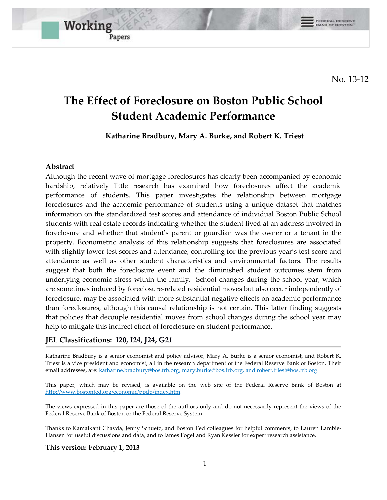No. 13-12

# **The Effect of Foreclosure on Boston Public School Student Academic Performance**

**Katharine Bradbury, Mary A. Burke, and Robert K. Triest** 

#### **Abstract**

Working

Papers

Although the recent wave of mortgage foreclosures has clearly been accompanied by economic hardship, relatively little research has examined how foreclosures affect the academic performance of students. This paper investigates the relationship between mortgage foreclosures and the academic performance of students using a unique dataset that matches information on the standardized test scores and attendance of individual Boston Public School students with real estate records indicating whether the student lived at an address involved in foreclosure and whether that student's parent or guardian was the owner or a tenant in the property. Econometric analysis of this relationship suggests that foreclosures are associated with slightly lower test scores and attendance, controlling for the previous-year's test score and attendance as well as other student characteristics and environmental factors. The results suggest that both the foreclosure event and the diminished student outcomes stem from underlying economic stress within the family. School changes during the school year, which are sometimes induced by foreclosure-related residential moves but also occur independently of foreclosure, may be associated with more substantial negative effects on academic performance than foreclosures, although this causal relationship is not certain. This latter finding suggests that policies that decouple residential moves from school changes during the school year may help to mitigate this indirect effect of foreclosure on student performance.

#### **JEL Classifications: I20, I24, J24, G21**

Katharine Bradbury is a senior economist and policy advisor, Mary A. Burke is a senior economist, and Robert K. Triest is a vice president and economist, all in the research department of the Federal Reserve Bank of Boston. Their email addresses, are[: katharine.bradbury@bos.frb.org,](mailto:katharine.bradbury@bos.frb.org) [mary.burke@bos.frb.org,](mailto:mary.burke@bos.frb.org) and [robert.triest@bos.frb.org.](mailto:robert.triest@bos.frb.org)

This paper, which may be revised, is available on the web site of the Federal Reserve Bank of Boston at [http://www.bostonfed.org/economic/ppdp/index.htm.](http://www.bostonfed.org/economic/ppdp/index.htm)

<span id="page-0-0"></span>The views expressed in this paper are those of the authors only and do not necessarily represent the views of the Federal Reserve Bank of Boston or the Federal Reserve System.

Thanks to Kamalkant Chavda, Jenny Schuetz, and Boston Fed colleagues for helpful comments, to Lauren Lambie-Hansen for useful discussions and data, and to James Fogel and Ryan Kessler for expert research assistance.

#### **This version: February 1, 2013**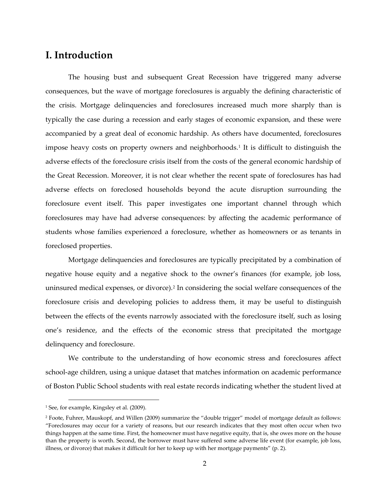## **I. Introduction**

The housing bust and subsequent Great Recession have triggered many adverse consequences, but the wave of mortgage foreclosures is arguably the defining characteristic of the crisis. Mortgage delinquencies and foreclosures increased much more sharply than is typically the case during a recession and early stages of economic expansion, and these were accompanied by a great deal of economic hardship. As others have documented, foreclosures impose heavy costs on property owners and neighborhoods[.1](#page-0-0) It is difficult to distinguish the adverse effects of the foreclosure crisis itself from the costs of the general economic hardship of the Great Recession. Moreover, it is not clear whether the recent spate of foreclosures has had adverse effects on foreclosed households beyond the acute disruption surrounding the foreclosure event itself. This paper investigates one important channel through which foreclosures may have had adverse consequences: by affecting the academic performance of students whose families experienced a foreclosure, whether as homeowners or as tenants in foreclosed properties.

Mortgage delinquencies and foreclosures are typically precipitated by a combination of negative house equity and a negative shock to the owner's finances (for example, job loss, uninsured medical expenses, or divorce).[2](#page-1-0) In considering the social welfare consequences of the foreclosure crisis and developing policies to address them, it may be useful to distinguish between the effects of the events narrowly associated with the foreclosure itself, such as losing one's residence, and the effects of the economic stress that precipitated the mortgage delinquency and foreclosure.

We contribute to the understanding of how economic stress and foreclosures affect school-age children, using a unique dataset that matches information on academic performance of Boston Public School students with real estate records indicating whether the student lived at

<sup>&</sup>lt;sup>1</sup> See, for example, Kingsley et al. (2009).

<span id="page-1-0"></span><sup>2</sup> Foote, Fuhrer, Mauskopf, and Willen (2009) summarize the "double trigger" model of mortgage default as follows: "Foreclosures may occur for a variety of reasons, but our research indicates that they most often occur when two things happen at the same time. First, the homeowner must have negative equity, that is, she owes more on the house than the property is worth. Second, the borrower must have suffered some adverse life event (for example, job loss, illness, or divorce) that makes it difficult for her to keep up with her mortgage payments" (p. 2).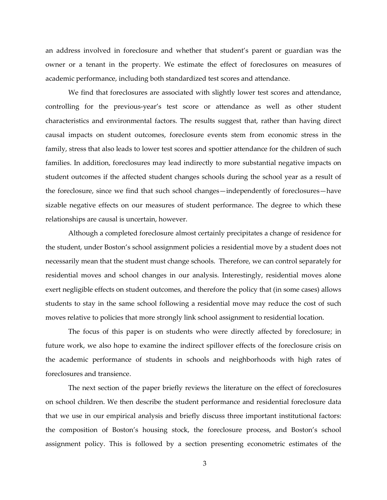an address involved in foreclosure and whether that student's parent or guardian was the owner or a tenant in the property. We estimate the effect of foreclosures on measures of academic performance, including both standardized test scores and attendance.

We find that foreclosures are associated with slightly lower test scores and attendance, controlling for the previous-year's test score or attendance as well as other student characteristics and environmental factors. The results suggest that, rather than having direct causal impacts on student outcomes, foreclosure events stem from economic stress in the family, stress that also leads to lower test scores and spottier attendance for the children of such families. In addition, foreclosures may lead indirectly to more substantial negative impacts on student outcomes if the affected student changes schools during the school year as a result of the foreclosure, since we find that such school changes—independently of foreclosures—have sizable negative effects on our measures of student performance. The degree to which these relationships are causal is uncertain, however.

Although a completed foreclosure almost certainly precipitates a change of residence for the student, under Boston's school assignment policies a residential move by a student does not necessarily mean that the student must change schools. Therefore, we can control separately for residential moves and school changes in our analysis. Interestingly, residential moves alone exert negligible effects on student outcomes, and therefore the policy that (in some cases) allows students to stay in the same school following a residential move may reduce the cost of such moves relative to policies that more strongly link school assignment to residential location.

The focus of this paper is on students who were directly affected by foreclosure; in future work, we also hope to examine the indirect spillover effects of the foreclosure crisis on the academic performance of students in schools and neighborhoods with high rates of foreclosures and transience.

The next section of the paper briefly reviews the literature on the effect of foreclosures on school children. We then describe the student performance and residential foreclosure data that we use in our empirical analysis and briefly discuss three important institutional factors: the composition of Boston's housing stock, the foreclosure process, and Boston's school assignment policy. This is followed by a section presenting econometric estimates of the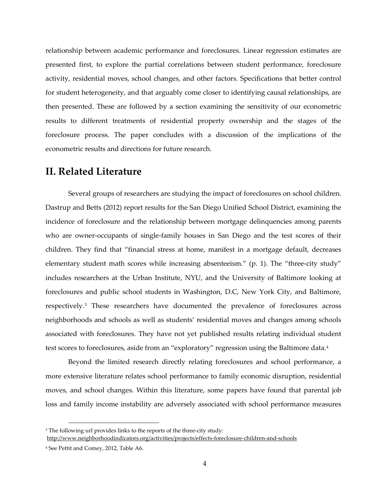relationship between academic performance and foreclosures. Linear regression estimates are presented first, to explore the partial correlations between student performance, foreclosure activity, residential moves, school changes, and other factors. Specifications that better control for student heterogeneity, and that arguably come closer to identifying causal relationships, are then presented. These are followed by a section examining the sensitivity of our econometric results to different treatments of residential property ownership and the stages of the foreclosure process. The paper concludes with a discussion of the implications of the econometric results and directions for future research.

## **II. Related Literature**

Several groups of researchers are studying the impact of foreclosures on school children. Dastrup and Betts (2012) report results for the San Diego Unified School District, examining the incidence of foreclosure and the relationship between mortgage delinquencies among parents who are owner-occupants of single-family houses in San Diego and the test scores of their children. They find that "financial stress at home, manifest in a mortgage default, decreases elementary student math scores while increasing absenteeism." (p. 1). The "three-city study" includes researchers at the Urban Institute, NYU, and the University of Baltimore looking at foreclosures and public school students in Washington, D.C, New York City, and Baltimore, respectively.[3](#page-3-0) These researchers have documented the prevalence of foreclosures across neighborhoods and schools as well as students' residential moves and changes among schools associated with foreclosures. They have not yet published results relating individual student test scores to foreclosures, aside from an "exploratory" regression using the Baltimore data.[4](#page-3-1)

Beyond the limited research directly relating foreclosures and school performance, a more extensive literature relates school performance to family economic disruption, residential moves, and school changes. Within this literature, some papers have found that parental job loss and family income instability are adversely associated with school performance measures

<span id="page-3-0"></span><sup>&</sup>lt;sup>3</sup> The following url provides links to the reports of the three-city study:

<http://www.neighborhoodindicators.org/activities/projects/effects-foreclosure-children-and-schools>

<span id="page-3-1"></span><sup>4</sup> See Pettit and Comey, 2012, Table A6.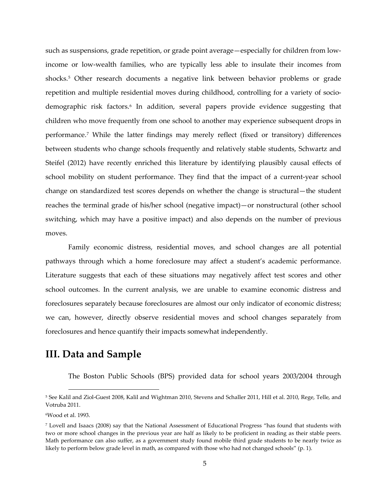such as suspensions, grade repetition, or grade point average—especially for children from lowincome or low-wealth families, who are typically less able to insulate their incomes from shocks.[5](#page-4-0) Other research documents a negative link between behavior problems or grade repetition and multiple residential moves during childhood, controlling for a variety of socio-demographic risk factors.<sup>[6](#page-4-1)</sup> In addition, several papers provide evidence suggesting that children who move frequently from one school to another may experience subsequent drops in performance.[7](#page-4-2) While the latter findings may merely reflect (fixed or transitory) differences between students who change schools frequently and relatively stable students, Schwartz and Steifel (2012) have recently enriched this literature by identifying plausibly causal effects of school mobility on student performance. They find that the impact of a current-year school change on standardized test scores depends on whether the change is structural—the student reaches the terminal grade of his/her school (negative impact)—or nonstructural (other school switching, which may have a positive impact) and also depends on the number of previous moves.

Family economic distress, residential moves, and school changes are all potential pathways through which a home foreclosure may affect a student's academic performance. Literature suggests that each of these situations may negatively affect test scores and other school outcomes. In the current analysis, we are unable to examine economic distress and foreclosures separately because foreclosures are almost our only indicator of economic distress; we can, however, directly observe residential moves and school changes separately from foreclosures and hence quantify their impacts somewhat independently.

## **III. Data and Sample**

The Boston Public Schools (BPS) provided data for school years 2003/2004 through

l

<span id="page-4-0"></span><sup>5</sup> See Kalil and Ziol-Guest 2008, Kalil and Wightman 2010, Stevens and Schaller 2011, Hill et al. 2010, Rege, Telle, and Votruba 2011.

<span id="page-4-1"></span><sup>6</sup>Wood et al. 1993.

<span id="page-4-2"></span><sup>7</sup> Lovell and Isaacs (2008) say that the National Assessment of Educational Progress "has found that students with two or more school changes in the previous year are half as likely to be proficient in reading as their stable peers. Math performance can also suffer, as a government study found mobile third grade students to be nearly twice as likely to perform below grade level in math, as compared with those who had not changed schools" (p. 1).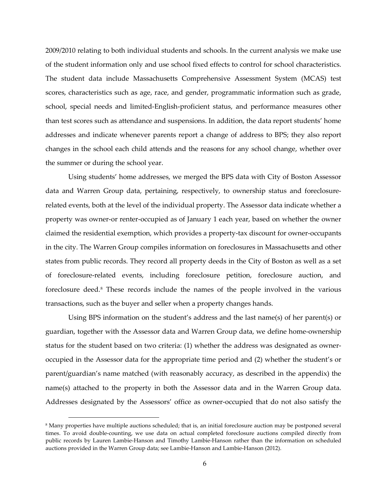2009/2010 relating to both individual students and schools. In the current analysis we make use of the student information only and use school fixed effects to control for school characteristics. The student data include Massachusetts Comprehensive Assessment System (MCAS) test scores, characteristics such as age, race, and gender, programmatic information such as grade, school, special needs and limited-English-proficient status, and performance measures other than test scores such as attendance and suspensions. In addition, the data report students' home addresses and indicate whenever parents report a change of address to BPS; they also report changes in the school each child attends and the reasons for any school change, whether over the summer or during the school year.

Using students' home addresses, we merged the BPS data with City of Boston Assessor data and Warren Group data, pertaining, respectively, to ownership status and foreclosurerelated events, both at the level of the individual property. The Assessor data indicate whether a property was owner-or renter-occupied as of January 1 each year, based on whether the owner claimed the residential exemption, which provides a property-tax discount for owner-occupants in the city. The Warren Group compiles information on foreclosures in Massachusetts and other states from public records. They record all property deeds in the City of Boston as well as a set of foreclosure-related events, including foreclosure petition, foreclosure auction, and foreclosure deed.[8](#page-5-0) These records include the names of the people involved in the various transactions, such as the buyer and seller when a property changes hands.

Using BPS information on the student's address and the last name(s) of her parent(s) or guardian, together with the Assessor data and Warren Group data, we define home-ownership status for the student based on two criteria: (1) whether the address was designated as owneroccupied in the Assessor data for the appropriate time period and (2) whether the student's or parent/guardian's name matched (with reasonably accuracy, as described in the appendix) the name(s) attached to the property in both the Assessor data and in the Warren Group data. Addresses designated by the Assessors' office as owner-occupied that do not also satisfy the

<span id="page-5-0"></span><sup>8</sup> Many properties have multiple auctions scheduled; that is, an initial foreclosure auction may be postponed several times. To avoid double-counting, we use data on actual completed foreclosure auctions compiled directly from public records by Lauren Lambie-Hanson and Timothy Lambie-Hanson rather than the information on scheduled auctions provided in the Warren Group data; see Lambie-Hanson and Lambie-Hanson (2012).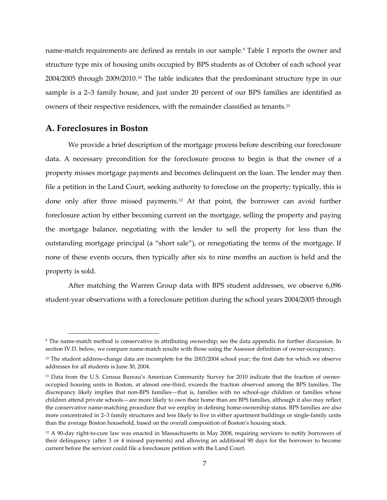name-match requirements are defined as rentals in our sample.<sup>[9](#page-6-0)</sup> Table 1 reports the owner and structure type mix of housing units occupied by BPS students as of October of each school year 2004/2005 through 2009/2010.[10](#page-6-1) The table indicates that the predominant structure type in our sample is a 2–3 family house, and just under 20 percent of our BPS families are identified as owners of their respective residences, with the remainder classified as tenants.[11](#page-6-2)

### **A. Foreclosures in Boston**

 $\overline{a}$ 

We provide a brief description of the mortgage process before describing our foreclosure data. A necessary precondition for the foreclosure process to begin is that the owner of a property misses mortgage payments and becomes delinquent on the loan. The lender may then file a petition in the Land Court, seeking authority to foreclose on the property; typically, this is done only after three missed payments.[12](#page-6-3) At that point, the borrower can avoid further foreclosure action by either becoming current on the mortgage, selling the property and paying the mortgage balance, negotiating with the lender to sell the property for less than the outstanding mortgage principal (a "short sale"), or renegotiating the terms of the mortgage. If none of these events occurs, then typically after six to nine months an auction is held and the property is sold.

After matching the Warren Group data with BPS student addresses, we observe 6,096 student-year observations with a foreclosure petition during the school years 2004/2005 through

<span id="page-6-0"></span><sup>9</sup> The name-match method is conservative in attributing ownership; see the data appendix for further discussion. In section IV.D. below, we compare name-match results with those using the Assessor definition of owner-occupancy.

<span id="page-6-1"></span> $10$  The student address-change data are incomplete for the 2003/2004 school year; the first date for which we observe addresses for all students is June 30, 2004.

<span id="page-6-2"></span><sup>&</sup>lt;sup>11</sup> Data from the U.S. Census Bureau's American Community Survey for 2010 indicate that the fraction of owneroccupied housing units in Boston, at almost one-third, exceeds the fraction observed among the BPS families. The discrepancy likely implies that non-BPS families—that is, families with no school-age children or families whose children attend private schools—are more likely to own their home than are BPS families, although it also may reflect the conservative name-matching procedure that we employ in defining home-ownership status. BPS families are also more concentrated in 2–3 family structures and less likely to live in either apartment buildings or single-family units than the average Boston household, based on the overall composition of Boston's housing stock.

<span id="page-6-3"></span><sup>12</sup> A 90-day right-to-cure law was enacted in Massachusetts in May 2008, requiring servicers to notify borrowers of their delinquency (after 3 or 4 missed payments) and allowing an additional 90 days for the borrower to become current before the servicer could file a foreclosure petition with the Land Court.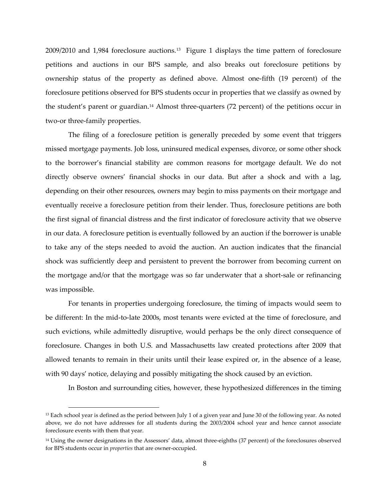2009/2010 and 1,984 foreclosure auctions.[13](#page-7-0) Figure 1 displays the time pattern of foreclosure petitions and auctions in our BPS sample, and also breaks out foreclosure petitions by ownership status of the property as defined above. Almost one-fifth (19 percent) of the foreclosure petitions observed for BPS students occur in properties that we classify as owned by the student's parent or guardian.[14](#page-7-1) Almost three-quarters (72 percent) of the petitions occur in two-or three-family properties.

The filing of a foreclosure petition is generally preceded by some event that triggers missed mortgage payments. Job loss, uninsured medical expenses, divorce, or some other shock to the borrower's financial stability are common reasons for mortgage default. We do not directly observe owners' financial shocks in our data. But after a shock and with a lag, depending on their other resources, owners may begin to miss payments on their mortgage and eventually receive a foreclosure petition from their lender. Thus, foreclosure petitions are both the first signal of financial distress and the first indicator of foreclosure activity that we observe in our data. A foreclosure petition is eventually followed by an auction if the borrower is unable to take any of the steps needed to avoid the auction. An auction indicates that the financial shock was sufficiently deep and persistent to prevent the borrower from becoming current on the mortgage and/or that the mortgage was so far underwater that a short-sale or refinancing was impossible.

For tenants in properties undergoing foreclosure, the timing of impacts would seem to be different: In the mid-to-late 2000s, most tenants were evicted at the time of foreclosure, and such evictions, while admittedly disruptive, would perhaps be the only direct consequence of foreclosure. Changes in both U.S. and Massachusetts law created protections after 2009 that allowed tenants to remain in their units until their lease expired or, in the absence of a lease, with 90 days' notice, delaying and possibly mitigating the shock caused by an eviction.

In Boston and surrounding cities, however, these hypothesized differences in the timing

<span id="page-7-0"></span><sup>&</sup>lt;sup>13</sup> Each school year is defined as the period between July 1 of a given year and June 30 of the following year. As noted above, we do not have addresses for all students during the 2003/2004 school year and hence cannot associate foreclosure events with them that year.

<span id="page-7-1"></span><sup>&</sup>lt;sup>14</sup> Using the owner designations in the Assessors' data, almost three-eighths (37 percent) of the foreclosures observed for BPS students occur in *properties* that are owner-occupied.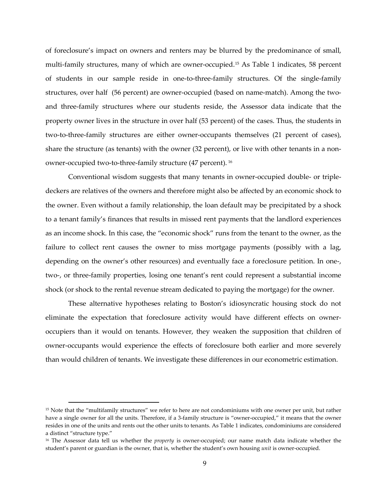of foreclosure's impact on owners and renters may be blurred by the predominance of small, multi-family structures, many of which are owner-occupied.[15](#page-8-0) As Table 1 indicates, 58 percent of students in our sample reside in one-to-three-family structures. Of the single-family structures, over half (56 percent) are owner-occupied (based on name-match). Among the twoand three-family structures where our students reside, the Assessor data indicate that the property owner lives in the structure in over half (53 percent) of the cases. Thus, the students in two-to-three-family structures are either owner-occupants themselves (21 percent of cases), share the structure (as tenants) with the owner (32 percent), or live with other tenants in a nonowner-occupied two-to-three-family structure (47 percent). [16](#page-8-1)

Conventional wisdom suggests that many tenants in owner-occupied double- or tripledeckers are relatives of the owners and therefore might also be affected by an economic shock to the owner. Even without a family relationship, the loan default may be precipitated by a shock to a tenant family's finances that results in missed rent payments that the landlord experiences as an income shock. In this case, the "economic shock" runs from the tenant to the owner, as the failure to collect rent causes the owner to miss mortgage payments (possibly with a lag, depending on the owner's other resources) and eventually face a foreclosure petition. In one-, two-, or three-family properties, losing one tenant's rent could represent a substantial income shock (or shock to the rental revenue stream dedicated to paying the mortgage) for the owner.

These alternative hypotheses relating to Boston's idiosyncratic housing stock do not eliminate the expectation that foreclosure activity would have different effects on owneroccupiers than it would on tenants. However, they weaken the supposition that children of owner-occupants would experience the effects of foreclosure both earlier and more severely than would children of tenants. We investigate these differences in our econometric estimation.

<span id="page-8-0"></span><sup>&</sup>lt;sup>15</sup> Note that the "multifamily structures" we refer to here are not condominiums with one owner per unit, but rather have a single owner for all the units. Therefore, if a 3-family structure is "owner-occupied," it means that the owner resides in one of the units and rents out the other units to tenants. As Table 1 indicates, condominiums are considered a distinct "structure type."

<span id="page-8-1"></span><sup>16</sup> The Assessor data tell us whether the *property* is owner-occupied; our name match data indicate whether the student's parent or guardian is the owner, that is, whether the student's own housing *unit* is owner-occupied.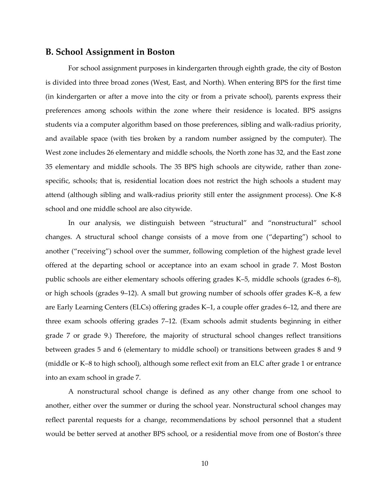### **B. School Assignment in Boston**

For school assignment purposes in kindergarten through eighth grade, the city of Boston is divided into three broad zones (West, East, and North). When entering BPS for the first time (in kindergarten or after a move into the city or from a private school), parents express their preferences among schools within the zone where their residence is located. BPS assigns students via a computer algorithm based on those preferences, sibling and walk-radius priority, and available space (with ties broken by a random number assigned by the computer). The West zone includes 26 elementary and middle schools, the North zone has 32, and the East zone 35 elementary and middle schools. The 35 BPS high schools are citywide, rather than zonespecific, schools; that is, residential location does not restrict the high schools a student may attend (although sibling and walk-radius priority still enter the assignment process). One K-8 school and one middle school are also citywide.

In our analysis, we distinguish between "structural" and "nonstructural" school changes. A structural school change consists of a move from one ("departing") school to another ("receiving") school over the summer, following completion of the highest grade level offered at the departing school or acceptance into an exam school in grade 7. Most Boston public schools are either elementary schools offering grades K–5, middle schools (grades 6–8), or high schools (grades 9–12). A small but growing number of schools offer grades K–8, a few are Early Learning Centers (ELCs) offering grades K–1, a couple offer grades 6–12, and there are three exam schools offering grades 7–12. (Exam schools admit students beginning in either grade 7 or grade 9.) Therefore, the majority of structural school changes reflect transitions between grades 5 and 6 (elementary to middle school) or transitions between grades 8 and 9 (middle or K–8 to high school), although some reflect exit from an ELC after grade 1 or entrance into an exam school in grade 7.

A nonstructural school change is defined as any other change from one school to another, either over the summer or during the school year. Nonstructural school changes may reflect parental requests for a change, recommendations by school personnel that a student would be better served at another BPS school, or a residential move from one of Boston's three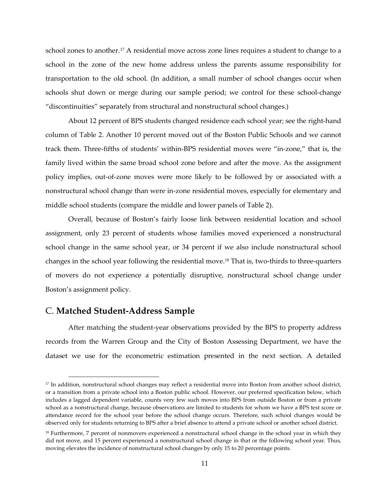school zones to another.<sup>[17](#page-10-0)</sup> A residential move across zone lines requires a student to change to a school in the zone of the new home address unless the parents assume responsibility for transportation to the old school. (In addition, a small number of school changes occur when schools shut down or merge during our sample period; we control for these school-change "discontinuities" separately from structural and nonstructural school changes.)

About 12 percent of BPS students changed residence each school year; see the right-hand column of Table 2. Another 10 percent moved out of the Boston Public Schools and we cannot track them. Three-fifths of students' within-BPS residential moves were "in-zone," that is, the family lived within the same broad school zone before and after the move. As the assignment policy implies, out-of-zone moves were more likely to be followed by or associated with a nonstructural school change than were in-zone residential moves, especially for elementary and middle school students (compare the middle and lower panels of Table 2).

Overall, because of Boston's fairly loose link between residential location and school assignment, only 23 percent of students whose families moved experienced a nonstructural school change in the same school year, or 34 percent if we also include nonstructural school changes in the school year following the residential move.[18](#page-10-1) That is, two-thirds to three-quarters of movers do not experience a potentially disruptive, nonstructural school change under Boston's assignment policy.

### C. **Matched Student-Address Sample**

l

After matching the student-year observations provided by the BPS to property address records from the Warren Group and the City of Boston Assessing Department, we have the dataset we use for the econometric estimation presented in the next section. A detailed

<span id="page-10-0"></span><sup>&</sup>lt;sup>17</sup> In addition, nonstructural school changes may reflect a residential move into Boston from another school district, or a transition from a private school into a Boston public school. However, our preferred specification below, which includes a lagged dependent variable, counts very few such moves into BPS from outside Boston or from a private school as a nonstructural change, because observations are limited to students for whom we have a BPS test score or attendance record for the school year before the school change occurs. Therefore, such school changes would be observed only for students returning to BPS after a brief absence to attend a private school or another school district.

<span id="page-10-1"></span><sup>&</sup>lt;sup>18</sup> Furthermore, 7 percent of nonmovers experienced a nonstructural school change in the school year in which they did not move, and 15 percent experienced a nonstructural school change in that or the following school year. Thus, moving elevates the incidence of nonstructural school changes by only 15 to 20 percentage points.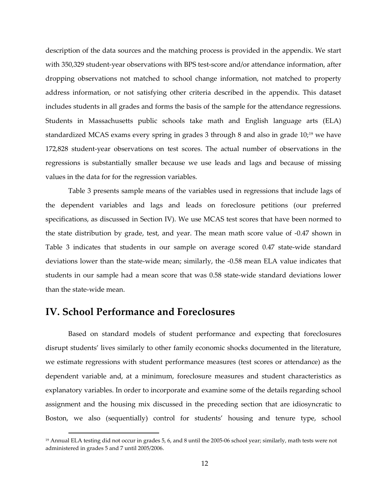description of the data sources and the matching process is provided in the appendix. We start with 350,329 student-year observations with BPS test-score and/or attendance information, after dropping observations not matched to school change information, not matched to property address information, or not satisfying other criteria described in the appendix. This dataset includes students in all grades and forms the basis of the sample for the attendance regressions. Students in Massachusetts public schools take math and English language arts (ELA) standardized MCAS exams every spring in grades 3 through 8 and also in grade 10;[19](#page-11-0) we have 172,828 student-year observations on test scores. The actual number of observations in the regressions is substantially smaller because we use leads and lags and because of missing values in the data for for the regression variables.

Table 3 presents sample means of the variables used in regressions that include lags of the dependent variables and lags and leads on foreclosure petitions (our preferred specifications, as discussed in Section IV). We use MCAS test scores that have been normed to the state distribution by grade, test, and year. The mean math score value of -0.47 shown in Table 3 indicates that students in our sample on average scored 0.47 state-wide standard deviations lower than the state-wide mean; similarly, the -0.58 mean ELA value indicates that students in our sample had a mean score that was 0.58 state-wide standard deviations lower than the state-wide mean.

## **IV. School Performance and Foreclosures**

 $\overline{a}$ 

Based on standard models of student performance and expecting that foreclosures disrupt students' lives similarly to other family economic shocks documented in the literature, we estimate regressions with student performance measures (test scores or attendance) as the dependent variable and, at a minimum, foreclosure measures and student characteristics as explanatory variables. In order to incorporate and examine some of the details regarding school assignment and the housing mix discussed in the preceding section that are idiosyncratic to Boston, we also (sequentially) control for students' housing and tenure type, school

<span id="page-11-0"></span><sup>&</sup>lt;sup>19</sup> Annual ELA testing did not occur in grades 5, 6, and 8 until the 2005-06 school year; similarly, math tests were not administered in grades 5 and 7 until 2005/2006.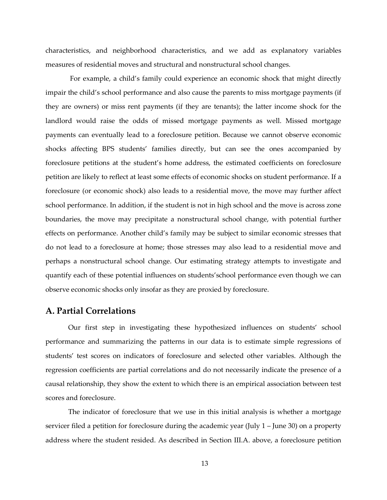characteristics, and neighborhood characteristics, and we add as explanatory variables measures of residential moves and structural and nonstructural school changes.

For example, a child's family could experience an economic shock that might directly impair the child's school performance and also cause the parents to miss mortgage payments (if they are owners) or miss rent payments (if they are tenants); the latter income shock for the landlord would raise the odds of missed mortgage payments as well. Missed mortgage payments can eventually lead to a foreclosure petition. Because we cannot observe economic shocks affecting BPS students' families directly, but can see the ones accompanied by foreclosure petitions at the student's home address, the estimated coefficients on foreclosure petition are likely to reflect at least some effects of economic shocks on student performance. If a foreclosure (or economic shock) also leads to a residential move, the move may further affect school performance. In addition, if the student is not in high school and the move is across zone boundaries, the move may precipitate a nonstructural school change, with potential further effects on performance. Another child's family may be subject to similar economic stresses that do not lead to a foreclosure at home; those stresses may also lead to a residential move and perhaps a nonstructural school change. Our estimating strategy attempts to investigate and quantify each of these potential influences on students'school performance even though we can observe economic shocks only insofar as they are proxied by foreclosure.

### **A. Partial Correlations**

Our first step in investigating these hypothesized influences on students' school performance and summarizing the patterns in our data is to estimate simple regressions of students' test scores on indicators of foreclosure and selected other variables. Although the regression coefficients are partial correlations and do not necessarily indicate the presence of a causal relationship, they show the extent to which there is an empirical association between test scores and foreclosure.

The indicator of foreclosure that we use in this initial analysis is whether a mortgage servicer filed a petition for foreclosure during the academic year (July 1 – June 30) on a property address where the student resided. As described in Section III.A. above, a foreclosure petition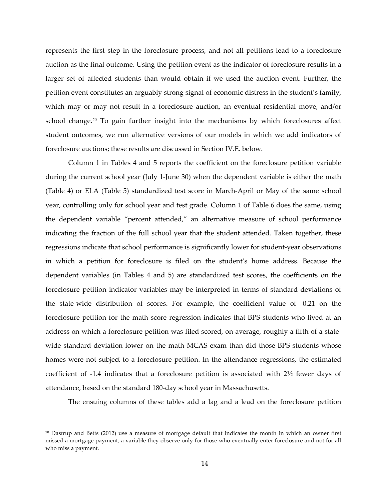represents the first step in the foreclosure process, and not all petitions lead to a foreclosure auction as the final outcome. Using the petition event as the indicator of foreclosure results in a larger set of affected students than would obtain if we used the auction event. Further, the petition event constitutes an arguably strong signal of economic distress in the student's family, which may or may not result in a foreclosure auction, an eventual residential move, and/or school change.<sup>[20](#page-13-0)</sup> To gain further insight into the mechanisms by which foreclosures affect student outcomes, we run alternative versions of our models in which we add indicators of foreclosure auctions; these results are discussed in Section IV.E. below.

Column 1 in Tables 4 and 5 reports the coefficient on the foreclosure petition variable during the current school year (July 1-June 30) when the dependent variable is either the math (Table 4) or ELA (Table 5) standardized test score in March-April or May of the same school year, controlling only for school year and test grade. Column 1 of Table 6 does the same, using the dependent variable "percent attended," an alternative measure of school performance indicating the fraction of the full school year that the student attended. Taken together, these regressions indicate that school performance is significantly lower for student-year observations in which a petition for foreclosure is filed on the student's home address. Because the dependent variables (in Tables 4 and 5) are standardized test scores, the coefficients on the foreclosure petition indicator variables may be interpreted in terms of standard deviations of the state-wide distribution of scores. For example, the coefficient value of -0.21 on the foreclosure petition for the math score regression indicates that BPS students who lived at an address on which a foreclosure petition was filed scored, on average, roughly a fifth of a statewide standard deviation lower on the math MCAS exam than did those BPS students whose homes were not subject to a foreclosure petition. In the attendance regressions, the estimated coefficient of -1.4 indicates that a foreclosure petition is associated with  $2\frac{1}{2}$  fewer days of attendance, based on the standard 180-day school year in Massachusetts.

The ensuing columns of these tables add a lag and a lead on the foreclosure petition

<span id="page-13-0"></span><sup>20</sup> Dastrup and Betts (2012) use a measure of mortgage default that indicates the month in which an owner first missed a mortgage payment, a variable they observe only for those who eventually enter foreclosure and not for all who miss a payment.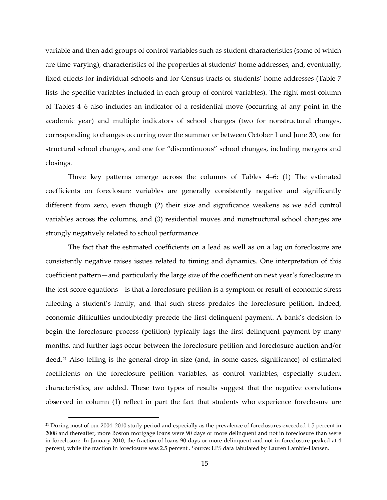variable and then add groups of control variables such as student characteristics (some of which are time-varying), characteristics of the properties at students' home addresses, and, eventually, fixed effects for individual schools and for Census tracts of students' home addresses (Table 7 lists the specific variables included in each group of control variables). The right-most column of Tables 4–6 also includes an indicator of a residential move (occurring at any point in the academic year) and multiple indicators of school changes (two for nonstructural changes, corresponding to changes occurring over the summer or between October 1 and June 30, one for structural school changes, and one for "discontinuous" school changes, including mergers and closings.

Three key patterns emerge across the columns of Tables 4–6: (1) The estimated coefficients on foreclosure variables are generally consistently negative and significantly different from zero, even though (2) their size and significance weakens as we add control variables across the columns, and (3) residential moves and nonstructural school changes are strongly negatively related to school performance.

The fact that the estimated coefficients on a lead as well as on a lag on foreclosure are consistently negative raises issues related to timing and dynamics. One interpretation of this coefficient pattern—and particularly the large size of the coefficient on next year's foreclosure in the test-score equations—is that a foreclosure petition is a symptom or result of economic stress affecting a student's family, and that such stress predates the foreclosure petition. Indeed, economic difficulties undoubtedly precede the first delinquent payment. A bank's decision to begin the foreclosure process (petition) typically lags the first delinquent payment by many months, and further lags occur between the foreclosure petition and foreclosure auction and/or deed.[21](#page-14-0) Also telling is the general drop in size (and, in some cases, significance) of estimated coefficients on the foreclosure petition variables, as control variables, especially student characteristics, are added. These two types of results suggest that the negative correlations observed in column (1) reflect in part the fact that students who experience foreclosure are

<span id="page-14-0"></span><sup>&</sup>lt;sup>21</sup> During most of our 2004–2010 study period and especially as the prevalence of foreclosures exceeded 1.5 percent in 2008 and thereafter, more Boston mortgage loans were 90 days or more delinquent and not in foreclosure than were in foreclosure. In January 2010, the fraction of loans 90 days or more delinquent and not in foreclosure peaked at 4 percent, while the fraction in foreclosure was 2.5 percent . Source: LPS data tabulated by Lauren Lambie-Hansen.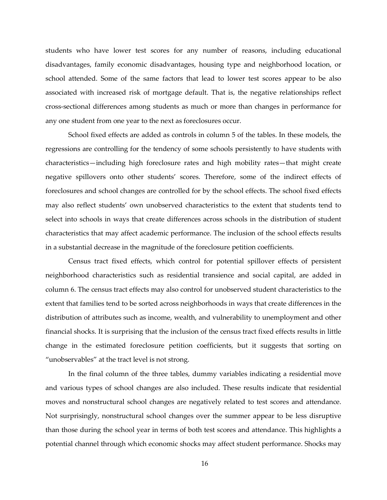students who have lower test scores for any number of reasons, including educational disadvantages, family economic disadvantages, housing type and neighborhood location, or school attended. Some of the same factors that lead to lower test scores appear to be also associated with increased risk of mortgage default. That is, the negative relationships reflect cross-sectional differences among students as much or more than changes in performance for any one student from one year to the next as foreclosures occur.

School fixed effects are added as controls in column 5 of the tables. In these models, the regressions are controlling for the tendency of some schools persistently to have students with characteristics—including high foreclosure rates and high mobility rates—that might create negative spillovers onto other students' scores. Therefore, some of the indirect effects of foreclosures and school changes are controlled for by the school effects. The school fixed effects may also reflect students' own unobserved characteristics to the extent that students tend to select into schools in ways that create differences across schools in the distribution of student characteristics that may affect academic performance. The inclusion of the school effects results in a substantial decrease in the magnitude of the foreclosure petition coefficients.

Census tract fixed effects, which control for potential spillover effects of persistent neighborhood characteristics such as residential transience and social capital, are added in column 6. The census tract effects may also control for unobserved student characteristics to the extent that families tend to be sorted across neighborhoods in ways that create differences in the distribution of attributes such as income, wealth, and vulnerability to unemployment and other financial shocks. It is surprising that the inclusion of the census tract fixed effects results in little change in the estimated foreclosure petition coefficients, but it suggests that sorting on "unobservables" at the tract level is not strong.

In the final column of the three tables, dummy variables indicating a residential move and various types of school changes are also included. These results indicate that residential moves and nonstructural school changes are negatively related to test scores and attendance. Not surprisingly, nonstructural school changes over the summer appear to be less disruptive than those during the school year in terms of both test scores and attendance. This highlights a potential channel through which economic shocks may affect student performance. Shocks may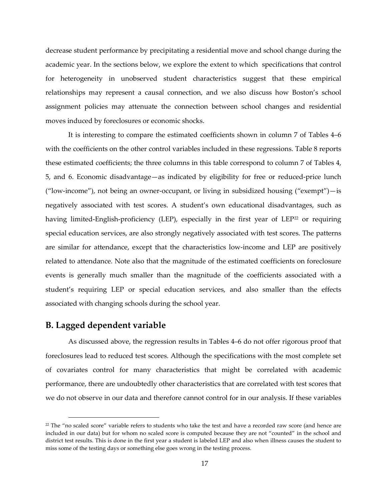decrease student performance by precipitating a residential move and school change during the academic year. In the sections below, we explore the extent to which specifications that control for heterogeneity in unobserved student characteristics suggest that these empirical relationships may represent a causal connection, and we also discuss how Boston's school assignment policies may attenuate the connection between school changes and residential moves induced by foreclosures or economic shocks.

It is interesting to compare the estimated coefficients shown in column 7 of Tables 4–6 with the coefficients on the other control variables included in these regressions. Table 8 reports these estimated coefficients; the three columns in this table correspond to column 7 of Tables 4, 5, and 6. Economic disadvantage—as indicated by eligibility for free or reduced-price lunch ("low-income"), not being an owner-occupant, or living in subsidized housing ("exempt")—is negatively associated with test scores. A student's own educational disadvantages, such as having limited-English-proficiency (LEP), especially in the first year of LEP<sup>[22](#page-16-0)</sup> or requiring special education services, are also strongly negatively associated with test scores. The patterns are similar for attendance, except that the characteristics low-income and LEP are positively related to attendance. Note also that the magnitude of the estimated coefficients on foreclosure events is generally much smaller than the magnitude of the coefficients associated with a student's requiring LEP or special education services, and also smaller than the effects associated with changing schools during the school year.

### **B. Lagged dependent variable**

 $\overline{a}$ 

As discussed above, the regression results in Tables 4–6 do not offer rigorous proof that foreclosures lead to reduced test scores. Although the specifications with the most complete set of covariates control for many characteristics that might be correlated with academic performance, there are undoubtedly other characteristics that are correlated with test scores that we do not observe in our data and therefore cannot control for in our analysis. If these variables

<span id="page-16-0"></span><sup>&</sup>lt;sup>22</sup> The "no scaled score" variable refers to students who take the test and have a recorded raw score (and hence are included in our data) but for whom no scaled score is computed because they are not "counted" in the school and district test results. This is done in the first year a student is labeled LEP and also when illness causes the student to miss some of the testing days or something else goes wrong in the testing process.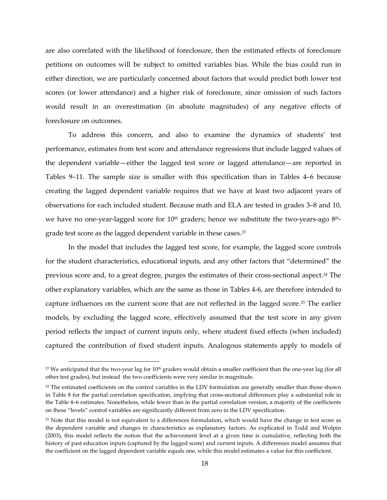are also correlated with the likelihood of foreclosure, then the estimated effects of foreclosure petitions on outcomes will be subject to omitted variables bias. While the bias could run in either direction, we are particularly concerned about factors that would predict both lower test scores (or lower attendance) and a higher risk of foreclosure, since omission of such factors would result in an overestimation (in absolute magnitudes) of any negative effects of foreclosure on outcomes.

To address this concern, and also to examine the dynamics of students' test performance, estimates from test score and attendance regressions that include lagged values of the dependent variable—either the lagged test score or lagged attendance—are reported in Tables 9–11. The sample size is smaller with this specification than in Tables 4–6 because creating the lagged dependent variable requires that we have at least two adjacent years of observations for each included student. Because math and ELA are tested in grades 3–8 and 10, we have no one-year-lagged score for  $10<sup>th</sup>$  graders; hence we substitute the two-years-ago  $8<sup>th</sup>$ -grade test score as the lagged dependent variable in these cases.<sup>[23](#page-17-0)</sup>

In the model that includes the lagged test score, for example, the lagged score controls for the student characteristics, educational inputs, and any other factors that "determined" the previous score and, to a great degree, purges the estimates of their cross-sectional aspect.[24](#page-17-1) The other explanatory variables, which are the same as those in Tables 4-6, are therefore intended to capture influences on the current score that are not reflected in the lagged score.[25](#page-17-2) The earlier models, by excluding the lagged score, effectively assumed that the test score in any given period reflects the impact of current inputs only, where student fixed effects (when included) captured the contribution of fixed student inputs. Analogous statements apply to models of

<span id="page-17-0"></span> $23$  We anticipated that the two-year lag for  $10<sup>th</sup>$  graders would obtain a smaller coefficient than the one-year lag (for all other test grades), but instead the two coefficients were very similar in magnitude.

<span id="page-17-1"></span><sup>&</sup>lt;sup>24</sup> The estimated coefficients on the control variables in the LDV formulation are generally smaller than those shown in Table 8 for the partial correlation specification, implying that cross-sectional differences play a substantial role in the Table 4–6 estimates. Nonetheless, while fewer than in the partial correlation version, a majority of the coefficients on these "levels" control variables are significantly different from zero in the LDV specification.

<span id="page-17-2"></span><sup>25</sup> Note that this model is not equivalent to a differences formulation, which would have the change in test score as the dependent variable and changes in characteristics as explanatory factors. As explicated in Todd and Wolpin (2003), this model reflects the notion that the achievement level at a given time is cumulative, reflecting both the history of past education inputs (captured by the lagged score) and current inputs. A differences model assumes that the coefficient on the lagged dependent variable equals one, while this model estimates a value for this coefficient.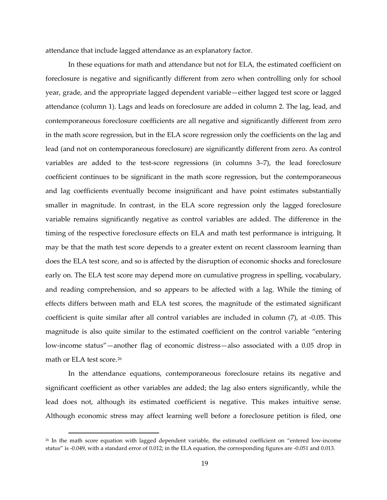attendance that include lagged attendance as an explanatory factor.

In these equations for math and attendance but not for ELA, the estimated coefficient on foreclosure is negative and significantly different from zero when controlling only for school year, grade, and the appropriate lagged dependent variable—either lagged test score or lagged attendance (column 1). Lags and leads on foreclosure are added in column 2. The lag, lead, and contemporaneous foreclosure coefficients are all negative and significantly different from zero in the math score regression, but in the ELA score regression only the coefficients on the lag and lead (and not on contemporaneous foreclosure) are significantly different from zero. As control variables are added to the test-score regressions (in columns 3–7), the lead foreclosure coefficient continues to be significant in the math score regression, but the contemporaneous and lag coefficients eventually become insignificant and have point estimates substantially smaller in magnitude. In contrast, in the ELA score regression only the lagged foreclosure variable remains significantly negative as control variables are added. The difference in the timing of the respective foreclosure effects on ELA and math test performance is intriguing. It may be that the math test score depends to a greater extent on recent classroom learning than does the ELA test score, and so is affected by the disruption of economic shocks and foreclosure early on. The ELA test score may depend more on cumulative progress in spelling, vocabulary, and reading comprehension, and so appears to be affected with a lag. While the timing of effects differs between math and ELA test scores, the magnitude of the estimated significant coefficient is quite similar after all control variables are included in column (7), at -0.05. This magnitude is also quite similar to the estimated coefficient on the control variable "entering low-income status"—another flag of economic distress—also associated with a 0.05 drop in math or ELA test score.<sup>[26](#page-18-0)</sup>

In the attendance equations, contemporaneous foreclosure retains its negative and significant coefficient as other variables are added; the lag also enters significantly, while the lead does not, although its estimated coefficient is negative. This makes intuitive sense. Although economic stress may affect learning well before a foreclosure petition is filed, one

<span id="page-18-0"></span><sup>&</sup>lt;sup>26</sup> In the math score equation with lagged dependent variable, the estimated coefficient on "entered low-income status" is -0.049, with a standard error of 0.012; in the ELA equation, the corresponding figures are -0.051 and 0.013.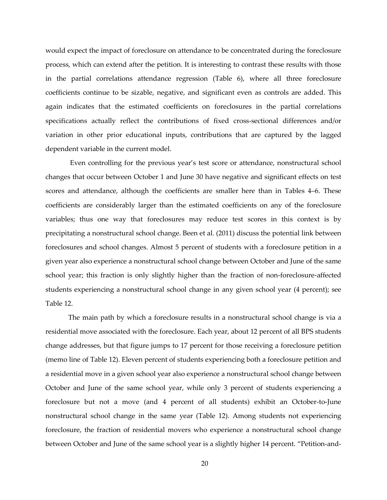would expect the impact of foreclosure on attendance to be concentrated during the foreclosure process, which can extend after the petition. It is interesting to contrast these results with those in the partial correlations attendance regression (Table 6), where all three foreclosure coefficients continue to be sizable, negative, and significant even as controls are added. This again indicates that the estimated coefficients on foreclosures in the partial correlations specifications actually reflect the contributions of fixed cross-sectional differences and/or variation in other prior educational inputs, contributions that are captured by the lagged dependent variable in the current model.

Even controlling for the previous year's test score or attendance, nonstructural school changes that occur between October 1 and June 30 have negative and significant effects on test scores and attendance, although the coefficients are smaller here than in Tables 4–6. These coefficients are considerably larger than the estimated coefficients on any of the foreclosure variables; thus one way that foreclosures may reduce test scores in this context is by precipitating a nonstructural school change. Been et al. (2011) discuss the potential link between foreclosures and school changes. Almost 5 percent of students with a foreclosure petition in a given year also experience a nonstructural school change between October and June of the same school year; this fraction is only slightly higher than the fraction of non-foreclosure-affected students experiencing a nonstructural school change in any given school year (4 percent); see Table 12.

The main path by which a foreclosure results in a nonstructural school change is via a residential move associated with the foreclosure. Each year, about 12 percent of all BPS students change addresses, but that figure jumps to 17 percent for those receiving a foreclosure petition (memo line of Table 12). Eleven percent of students experiencing both a foreclosure petition and a residential move in a given school year also experience a nonstructural school change between October and June of the same school year, while only 3 percent of students experiencing a foreclosure but not a move (and 4 percent of all students) exhibit an October-to-June nonstructural school change in the same year (Table 12). Among students not experiencing foreclosure, the fraction of residential movers who experience a nonstructural school change between October and June of the same school year is a slightly higher 14 percent. "Petition-and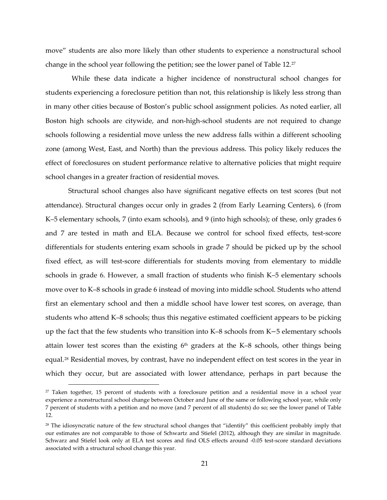move" students are also more likely than other students to experience a nonstructural school change in the school year following the petition; see the lower panel of Table 12.[27](#page-20-0)

 While these data indicate a higher incidence of nonstructural school changes for students experiencing a foreclosure petition than not, this relationship is likely less strong than in many other cities because of Boston's public school assignment policies. As noted earlier, all Boston high schools are citywide, and non-high-school students are not required to change schools following a residential move unless the new address falls within a different schooling zone (among West, East, and North) than the previous address. This policy likely reduces the effect of foreclosures on student performance relative to alternative policies that might require school changes in a greater fraction of residential moves.

Structural school changes also have significant negative effects on test scores (but not attendance). Structural changes occur only in grades 2 (from Early Learning Centers), 6 (from K–5 elementary schools, 7 (into exam schools), and 9 (into high schools); of these, only grades 6 and 7 are tested in math and ELA. Because we control for school fixed effects, test-score differentials for students entering exam schools in grade 7 should be picked up by the school fixed effect, as will test-score differentials for students moving from elementary to middle schools in grade 6. However, a small fraction of students who finish K–5 elementary schools move over to K–8 schools in grade 6 instead of moving into middle school. Students who attend first an elementary school and then a middle school have lower test scores, on average, than students who attend K–8 schools; thus this negative estimated coefficient appears to be picking up the fact that the few students who transition into K–8 schools from K−5 elementary schools attain lower test scores than the existing  $6<sup>th</sup>$  graders at the K–8 schools, other things being equal.[28](#page-20-1) Residential moves, by contrast, have no independent effect on test scores in the year in which they occur, but are associated with lower attendance, perhaps in part because the

<span id="page-20-0"></span><sup>&</sup>lt;sup>27</sup> Taken together, 15 percent of students with a foreclosure petition and a residential move in a school year experience a nonstructural school change between October and June of the same or following school year, while only 7 percent of students with a petition and no move (and 7 percent of all students) do so; see the lower panel of Table 12.

<span id="page-20-1"></span><sup>&</sup>lt;sup>28</sup> The idiosyncratic nature of the few structural school changes that "identify" this coefficient probably imply that our estimates are not comparable to those of Schwartz and Stiefel (2012), although they are similar in magnitude. Schwarz and Stiefel look only at ELA test scores and find OLS effects around -0.05 test-score standard deviations associated with a structural school change this year.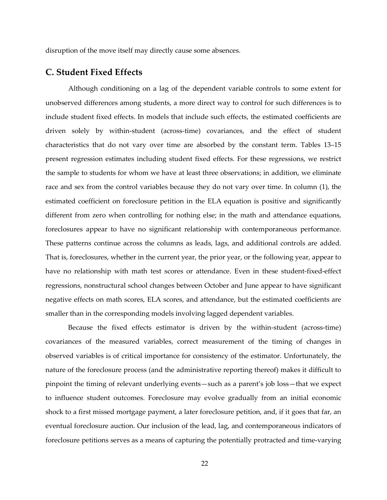disruption of the move itself may directly cause some absences.

#### **C. Student Fixed Effects**

Although conditioning on a lag of the dependent variable controls to some extent for unobserved differences among students, a more direct way to control for such differences is to include student fixed effects. In models that include such effects, the estimated coefficients are driven solely by within-student (across-time) covariances, and the effect of student characteristics that do not vary over time are absorbed by the constant term. Tables 13–15 present regression estimates including student fixed effects. For these regressions, we restrict the sample to students for whom we have at least three observations; in addition, we eliminate race and sex from the control variables because they do not vary over time. In column (1), the estimated coefficient on foreclosure petition in the ELA equation is positive and significantly different from zero when controlling for nothing else; in the math and attendance equations, foreclosures appear to have no significant relationship with contemporaneous performance. These patterns continue across the columns as leads, lags, and additional controls are added. That is, foreclosures, whether in the current year, the prior year, or the following year, appear to have no relationship with math test scores or attendance. Even in these student-fixed-effect regressions, nonstructural school changes between October and June appear to have significant negative effects on math scores, ELA scores, and attendance, but the estimated coefficients are smaller than in the corresponding models involving lagged dependent variables.

Because the fixed effects estimator is driven by the within-student (across-time) covariances of the measured variables, correct measurement of the timing of changes in observed variables is of critical importance for consistency of the estimator. Unfortunately, the nature of the foreclosure process (and the administrative reporting thereof) makes it difficult to pinpoint the timing of relevant underlying events—such as a parent's job loss—that we expect to influence student outcomes. Foreclosure may evolve gradually from an initial economic shock to a first missed mortgage payment, a later foreclosure petition, and, if it goes that far, an eventual foreclosure auction. Our inclusion of the lead, lag, and contemporaneous indicators of foreclosure petitions serves as a means of capturing the potentially protracted and time-varying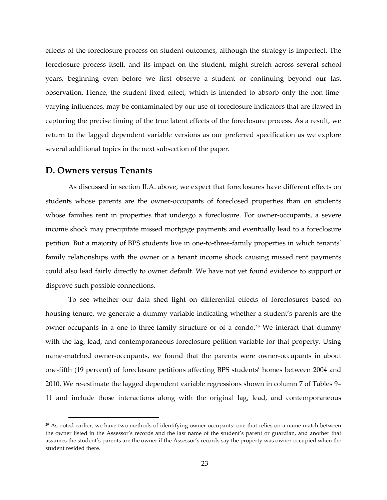effects of the foreclosure process on student outcomes, although the strategy is imperfect. The foreclosure process itself, and its impact on the student, might stretch across several school years, beginning even before we first observe a student or continuing beyond our last observation. Hence, the student fixed effect, which is intended to absorb only the non-timevarying influences, may be contaminated by our use of foreclosure indicators that are flawed in capturing the precise timing of the true latent effects of the foreclosure process. As a result, we return to the lagged dependent variable versions as our preferred specification as we explore several additional topics in the next subsection of the paper.

#### **D. Owners versus Tenants**

 $\overline{a}$ 

As discussed in section II.A. above, we expect that foreclosures have different effects on students whose parents are the owner-occupants of foreclosed properties than on students whose families rent in properties that undergo a foreclosure. For owner-occupants, a severe income shock may precipitate missed mortgage payments and eventually lead to a foreclosure petition. But a majority of BPS students live in one-to-three-family properties in which tenants' family relationships with the owner or a tenant income shock causing missed rent payments could also lead fairly directly to owner default. We have not yet found evidence to support or disprove such possible connections.

To see whether our data shed light on differential effects of foreclosures based on housing tenure, we generate a dummy variable indicating whether a student's parents are the owner-occupants in a one-to-three-family structure or of a condo.[29](#page-22-0) We interact that dummy with the lag, lead, and contemporaneous foreclosure petition variable for that property. Using name-matched owner-occupants, we found that the parents were owner-occupants in about one-fifth (19 percent) of foreclosure petitions affecting BPS students' homes between 2004 and 2010. We re-estimate the lagged dependent variable regressions shown in column 7 of Tables 9– 11 and include those interactions along with the original lag, lead, and contemporaneous

<span id="page-22-0"></span><sup>&</sup>lt;sup>29</sup> As noted earlier, we have two methods of identifying owner-occupants: one that relies on a name match between the owner listed in the Assessor's records and the last name of the student's parent or guardian, and another that assumes the student's parents are the owner if the Assessor's records say the property was owner-occupied when the student resided there.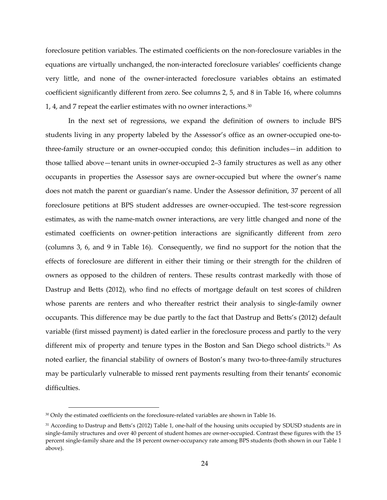foreclosure petition variables. The estimated coefficients on the non-foreclosure variables in the equations are virtually unchanged, the non-interacted foreclosure variables' coefficients change very little, and none of the owner-interacted foreclosure variables obtains an estimated coefficient significantly different from zero. See columns 2, 5, and 8 in Table 16, where columns 1, 4, and 7 repeat the earlier estimates with no owner interactions.<sup>[30](#page-23-0)</sup>

In the next set of regressions, we expand the definition of owners to include BPS students living in any property labeled by the Assessor's office as an owner-occupied one-tothree-family structure or an owner-occupied condo; this definition includes—in addition to those tallied above—tenant units in owner-occupied 2–3 family structures as well as any other occupants in properties the Assessor says are owner-occupied but where the owner's name does not match the parent or guardian's name. Under the Assessor definition, 37 percent of all foreclosure petitions at BPS student addresses are owner-occupied. The test-score regression estimates, as with the name-match owner interactions, are very little changed and none of the estimated coefficients on owner-petition interactions are significantly different from zero (columns 3, 6, and 9 in Table 16). Consequently, we find no support for the notion that the effects of foreclosure are different in either their timing or their strength for the children of owners as opposed to the children of renters. These results contrast markedly with those of Dastrup and Betts (2012), who find no effects of mortgage default on test scores of children whose parents are renters and who thereafter restrict their analysis to single-family owner occupants. This difference may be due partly to the fact that Dastrup and Betts's (2012) default variable (first missed payment) is dated earlier in the foreclosure process and partly to the very different mix of property and tenure types in the Boston and San Diego school districts.<sup>[31](#page-23-1)</sup> As noted earlier, the financial stability of owners of Boston's many two-to-three-family structures may be particularly vulnerable to missed rent payments resulting from their tenants' economic difficulties.

<span id="page-23-0"></span><sup>&</sup>lt;sup>30</sup> Only the estimated coefficients on the foreclosure-related variables are shown in Table 16.

<span id="page-23-1"></span><sup>&</sup>lt;sup>31</sup> According to Dastrup and Betts's (2012) Table 1, one-half of the housing units occupied by SDUSD students are in single-family structures and over 40 percent of student homes are owner-occupied. Contrast these figures with the 15 percent single-family share and the 18 percent owner-occupancy rate among BPS students (both shown in our Table 1 above).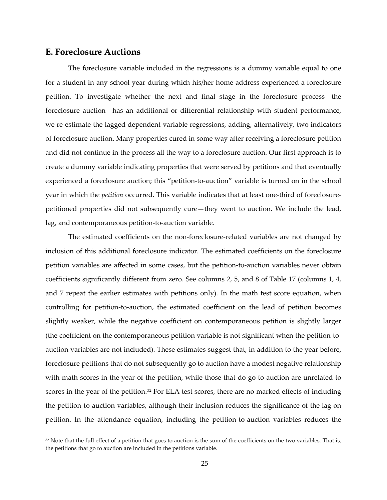#### **E. Foreclosure Auctions**

 $\overline{a}$ 

The foreclosure variable included in the regressions is a dummy variable equal to one for a student in any school year during which his/her home address experienced a foreclosure petition. To investigate whether the next and final stage in the foreclosure process—the foreclosure auction—has an additional or differential relationship with student performance, we re-estimate the lagged dependent variable regressions, adding, alternatively, two indicators of foreclosure auction. Many properties cured in some way after receiving a foreclosure petition and did not continue in the process all the way to a foreclosure auction. Our first approach is to create a dummy variable indicating properties that were served by petitions and that eventually experienced a foreclosure auction; this "petition-to-auction" variable is turned on in the school year in which the *petition* occurred. This variable indicates that at least one-third of foreclosurepetitioned properties did not subsequently cure—they went to auction. We include the lead, lag, and contemporaneous petition-to-auction variable.

The estimated coefficients on the non-foreclosure-related variables are not changed by inclusion of this additional foreclosure indicator. The estimated coefficients on the foreclosure petition variables are affected in some cases, but the petition-to-auction variables never obtain coefficients significantly different from zero. See columns 2, 5, and 8 of Table 17 (columns 1, 4, and 7 repeat the earlier estimates with petitions only). In the math test score equation, when controlling for petition-to-auction, the estimated coefficient on the lead of petition becomes slightly weaker, while the negative coefficient on contemporaneous petition is slightly larger (the coefficient on the contemporaneous petition variable is not significant when the petition-toauction variables are not included). These estimates suggest that, in addition to the year before, foreclosure petitions that do not subsequently go to auction have a modest negative relationship with math scores in the year of the petition, while those that do go to auction are unrelated to scores in the year of the petition.<sup>[32](#page-24-0)</sup> For ELA test scores, there are no marked effects of including the petition-to-auction variables, although their inclusion reduces the significance of the lag on petition. In the attendance equation, including the petition-to-auction variables reduces the

<span id="page-24-0"></span><sup>&</sup>lt;sup>32</sup> Note that the full effect of a petition that goes to auction is the sum of the coefficients on the two variables. That is, the petitions that go to auction are included in the petitions variable.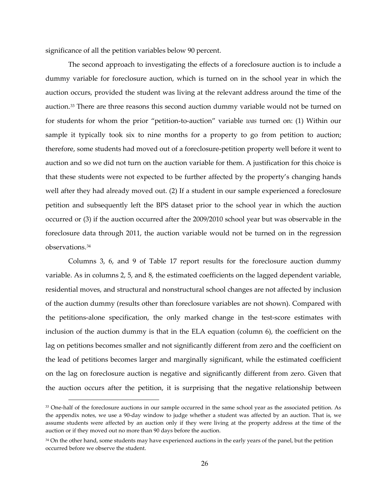significance of all the petition variables below 90 percent.

The second approach to investigating the effects of a foreclosure auction is to include a dummy variable for foreclosure auction, which is turned on in the school year in which the auction occurs, provided the student was living at the relevant address around the time of the auction[.33](#page-25-0) There are three reasons this second auction dummy variable would not be turned on for students for whom the prior "petition-to-auction" variable *was* turned on: (1) Within our sample it typically took six to nine months for a property to go from petition to auction; therefore, some students had moved out of a foreclosure-petition property well before it went to auction and so we did not turn on the auction variable for them. A justification for this choice is that these students were not expected to be further affected by the property's changing hands well after they had already moved out. (2) If a student in our sample experienced a foreclosure petition and subsequently left the BPS dataset prior to the school year in which the auction occurred or (3) if the auction occurred after the 2009/2010 school year but was observable in the foreclosure data through 2011, the auction variable would not be turned on in the regression observations.[34](#page-25-1)

Columns 3, 6, and 9 of Table 17 report results for the foreclosure auction dummy variable. As in columns 2, 5, and 8, the estimated coefficients on the lagged dependent variable, residential moves, and structural and nonstructural school changes are not affected by inclusion of the auction dummy (results other than foreclosure variables are not shown). Compared with the petitions-alone specification, the only marked change in the test-score estimates with inclusion of the auction dummy is that in the ELA equation (column 6), the coefficient on the lag on petitions becomes smaller and not significantly different from zero and the coefficient on the lead of petitions becomes larger and marginally significant, while the estimated coefficient on the lag on foreclosure auction is negative and significantly different from zero. Given that the auction occurs after the petition, it is surprising that the negative relationship between

<span id="page-25-0"></span><sup>&</sup>lt;sup>33</sup> One-half of the foreclosure auctions in our sample occurred in the same school year as the associated petition. As the appendix notes, we use a 90-day window to judge whether a student was affected by an auction. That is, we assume students were affected by an auction only if they were living at the property address at the time of the auction or if they moved out no more than 90 days before the auction.

<span id="page-25-1"></span><sup>&</sup>lt;sup>34</sup> On the other hand, some students may have experienced auctions in the early years of the panel, but the petition occurred before we observe the student.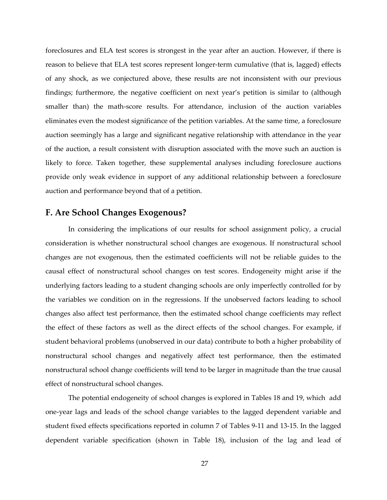foreclosures and ELA test scores is strongest in the year after an auction. However, if there is reason to believe that ELA test scores represent longer-term cumulative (that is, lagged) effects of any shock, as we conjectured above, these results are not inconsistent with our previous findings; furthermore, the negative coefficient on next year's petition is similar to (although smaller than) the math-score results. For attendance, inclusion of the auction variables eliminates even the modest significance of the petition variables. At the same time, a foreclosure auction seemingly has a large and significant negative relationship with attendance in the year of the auction, a result consistent with disruption associated with the move such an auction is likely to force. Taken together, these supplemental analyses including foreclosure auctions provide only weak evidence in support of any additional relationship between a foreclosure auction and performance beyond that of a petition.

#### **F. Are School Changes Exogenous?**

In considering the implications of our results for school assignment policy, a crucial consideration is whether nonstructural school changes are exogenous. If nonstructural school changes are not exogenous, then the estimated coefficients will not be reliable guides to the causal effect of nonstructural school changes on test scores. Endogeneity might arise if the underlying factors leading to a student changing schools are only imperfectly controlled for by the variables we condition on in the regressions. If the unobserved factors leading to school changes also affect test performance, then the estimated school change coefficients may reflect the effect of these factors as well as the direct effects of the school changes. For example, if student behavioral problems (unobserved in our data) contribute to both a higher probability of nonstructural school changes and negatively affect test performance, then the estimated nonstructural school change coefficients will tend to be larger in magnitude than the true causal effect of nonstructural school changes.

The potential endogeneity of school changes is explored in Tables 18 and 19, which add one-year lags and leads of the school change variables to the lagged dependent variable and student fixed effects specifications reported in column 7 of Tables 9-11 and 13-15. In the lagged dependent variable specification (shown in Table 18), inclusion of the lag and lead of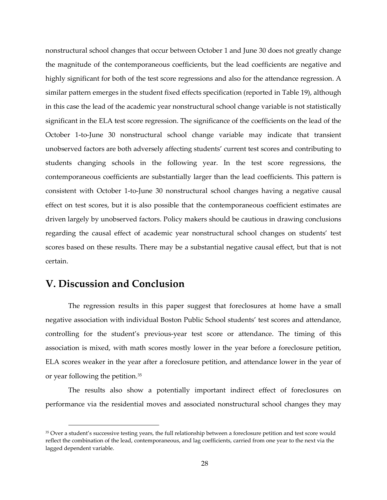nonstructural school changes that occur between October 1 and June 30 does not greatly change the magnitude of the contemporaneous coefficients, but the lead coefficients are negative and highly significant for both of the test score regressions and also for the attendance regression. A similar pattern emerges in the student fixed effects specification (reported in Table 19), although in this case the lead of the academic year nonstructural school change variable is not statistically significant in the ELA test score regression. The significance of the coefficients on the lead of the October 1-to-June 30 nonstructural school change variable may indicate that transient unobserved factors are both adversely affecting students' current test scores and contributing to students changing schools in the following year. In the test score regressions, the contemporaneous coefficients are substantially larger than the lead coefficients. This pattern is consistent with October 1-to-June 30 nonstructural school changes having a negative causal effect on test scores, but it is also possible that the contemporaneous coefficient estimates are driven largely by unobserved factors. Policy makers should be cautious in drawing conclusions regarding the causal effect of academic year nonstructural school changes on students' test scores based on these results. There may be a substantial negative causal effect, but that is not certain.

## **V. Discussion and Conclusion**

 $\overline{a}$ 

The regression results in this paper suggest that foreclosures at home have a small negative association with individual Boston Public School students' test scores and attendance, controlling for the student's previous-year test score or attendance. The timing of this association is mixed, with math scores mostly lower in the year before a foreclosure petition, ELA scores weaker in the year after a foreclosure petition, and attendance lower in the year of or year following the petition.[35](#page-27-0)

The results also show a potentially important indirect effect of foreclosures on performance via the residential moves and associated nonstructural school changes they may

<span id="page-27-0"></span><sup>&</sup>lt;sup>35</sup> Over a student's successive testing years, the full relationship between a foreclosure petition and test score would reflect the combination of the lead, contemporaneous, and lag coefficients, carried from one year to the next via the lagged dependent variable.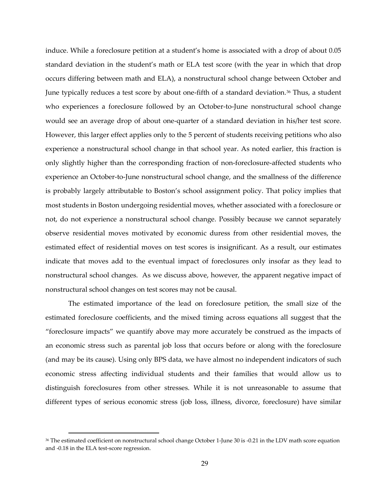induce. While a foreclosure petition at a student's home is associated with a drop of about 0.05 standard deviation in the student's math or ELA test score (with the year in which that drop occurs differing between math and ELA), a nonstructural school change between October and June typically reduces a test score by about one-fifth of a standard deviation.<sup>36</sup> Thus, a student who experiences a foreclosure followed by an October-to-June nonstructural school change would see an average drop of about one-quarter of a standard deviation in his/her test score. However, this larger effect applies only to the 5 percent of students receiving petitions who also experience a nonstructural school change in that school year. As noted earlier, this fraction is only slightly higher than the corresponding fraction of non-foreclosure-affected students who experience an October-to-June nonstructural school change, and the smallness of the difference is probably largely attributable to Boston's school assignment policy. That policy implies that most students in Boston undergoing residential moves, whether associated with a foreclosure or not, do not experience a nonstructural school change. Possibly because we cannot separately observe residential moves motivated by economic duress from other residential moves, the estimated effect of residential moves on test scores is insignificant. As a result, our estimates indicate that moves add to the eventual impact of foreclosures only insofar as they lead to nonstructural school changes. As we discuss above, however, the apparent negative impact of nonstructural school changes on test scores may not be causal.

The estimated importance of the lead on foreclosure petition, the small size of the estimated foreclosure coefficients, and the mixed timing across equations all suggest that the "foreclosure impacts" we quantify above may more accurately be construed as the impacts of an economic stress such as parental job loss that occurs before or along with the foreclosure (and may be its cause). Using only BPS data, we have almost no independent indicators of such economic stress affecting individual students and their families that would allow us to distinguish foreclosures from other stresses. While it is not unreasonable to assume that different types of serious economic stress (job loss, illness, divorce, foreclosure) have similar

<span id="page-28-0"></span><sup>36</sup> The estimated coefficient on nonstructural school change October 1-June 30 is -0.21 in the LDV math score equation and -0.18 in the ELA test-score regression.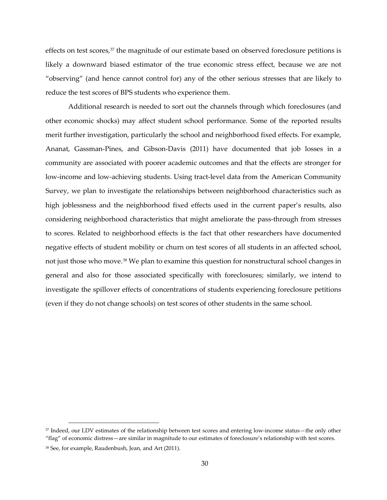effects on test scores,<sup>[37](#page-29-0)</sup> the magnitude of our estimate based on observed foreclosure petitions is likely a downward biased estimator of the true economic stress effect, because we are not "observing" (and hence cannot control for) any of the other serious stresses that are likely to reduce the test scores of BPS students who experience them.

Additional research is needed to sort out the channels through which foreclosures (and other economic shocks) may affect student school performance. Some of the reported results merit further investigation, particularly the school and neighborhood fixed effects. For example, Ananat, Gassman-Pines, and Gibson-Davis (2011) have documented that job losses in a community are associated with poorer academic outcomes and that the effects are stronger for low-income and low-achieving students. Using tract-level data from the American Community Survey, we plan to investigate the relationships between neighborhood characteristics such as high joblessness and the neighborhood fixed effects used in the current paper's results, also considering neighborhood characteristics that might ameliorate the pass-through from stresses to scores. Related to neighborhood effects is the fact that other researchers have documented negative effects of student mobility or churn on test scores of all students in an affected school, not just those who move.<sup>[38](#page-29-1)</sup> We plan to examine this question for nonstructural school changes in general and also for those associated specifically with foreclosures; similarly, we intend to investigate the spillover effects of concentrations of students experiencing foreclosure petitions (even if they do not change schools) on test scores of other students in the same school.

<span id="page-29-0"></span><sup>37</sup> Indeed, our LDV estimates of the relationship between test scores and entering low-income status—the only other

<sup>&</sup>quot;flag" of economic distress—are similar in magnitude to our estimates of foreclosure's relationship with test scores.

<span id="page-29-1"></span><sup>38</sup> See, for example, Raudenbush, Jean, and Art (2011).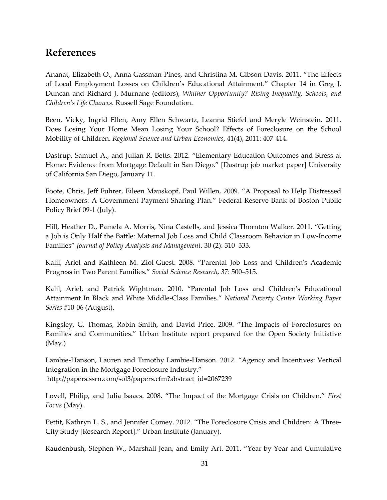## **References**

Ananat, Elizabeth O., Anna Gassman-Pines, and Christina M. Gibson-Davis. 2011. "The Effects of Local Employment Losses on Children's Educational Attainment." Chapter 14 in Greg J. Duncan and Richard J. Murnane (editors), *Whither Opportunity? Rising Inequality, Schools, and Children's Life Chances.* Russell Sage Foundation.

Been, Vicky, Ingrid Ellen, Amy Ellen Schwartz, Leanna Stiefel and Meryle Weinstein. 2011. Does Losing Your Home Mean Losing Your School? Effects of Foreclosure on the School Mobility of Children. *Regional Science and Urban Economics*, 41(4), 2011: 407-414.

Dastrup, Samuel A., and Julian R. Betts. 2012. "Elementary Education Outcomes and Stress at Home: Evidence from Mortgage Default in San Diego." [Dastrup job market paper] University of California San Diego, January 11.

Foote, Chris, Jeff Fuhrer, Eileen Mauskopf, Paul Willen, 2009. "A Proposal to Help Distressed Homeowners: A Government Payment-Sharing Plan." Federal Reserve Bank of Boston Public Policy Brief 09-1 (July).

Hill, Heather D., Pamela A. Morris, Nina Castells, and Jessica Thornton Walker. 2011. "Getting a Job is Only Half the Battle: Maternal Job Loss and Child Classroom Behavior in Low-Income Families" *Journal of Policy Analysis and Management*. 30 (2): 310–333.

Kalil, Ariel and Kathleen M. Ziol-Guest. 2008. "Parental Job Loss and Children's Academic Progress in Two Parent Families." *Social Science Research, 37*: 500–515.

Kalil, Ariel, and Patrick Wightman. 2010. "Parental Job Loss and Children's Educational Attainment In Black and White Middle-Class Families." *National Poverty Center Working Paper Series* #10-06 (August).

Kingsley, G. Thomas, Robin Smith, and David Price. 2009. "The Impacts of Foreclosures on Families and Communities." Urban Institute report prepared for the Open Society Initiative (May.)

Lambie-Hanson, Lauren and Timothy Lambie-Hanson. 2012. "Agency and Incentives: Vertical Integration in the Mortgage Foreclosure Industry." http://papers.ssrn.com/sol3/papers.cfm?abstract\_id=2067239

Lovell, Philip, and Julia Isaacs. 2008. "The Impact of the Mortgage Crisis on Children." *First Focus* (May).

Pettit, Kathryn L. S., and Jennifer Comey. 2012. "The Foreclosure Crisis and Children: A Three-City Study [Research Report]." Urban Institute (January).

Raudenbush, Stephen W., Marshall Jean, and Emily Art. 2011. "Year-by-Year and Cumulative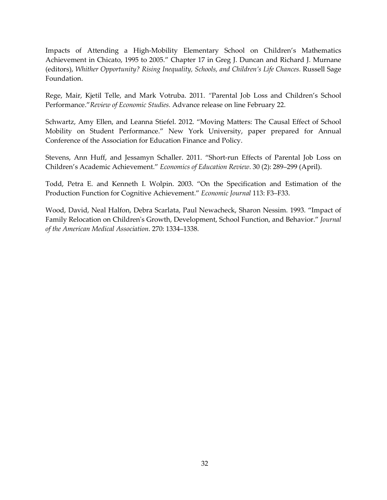Impacts of Attending a High-Mobility Elementary School on Children's Mathematics Achievement in Chicato, 1995 to 2005." Chapter 17 in Greg J. Duncan and Richard J. Murnane (editors), *Whither Opportunity? Rising Inequality, Schools, and Children's Life Chances.* Russell Sage Foundation.

Rege, Mair, Kjetil Telle, and Mark Votruba. 2011. *"*Parental Job Loss and Children's School Performance."*Review of Economic Studies.* Advance release on line February 22.

Schwartz, Amy Ellen, and Leanna Stiefel. 2012. "Moving Matters: The Causal Effect of School Mobility on Student Performance." New York University, paper prepared for Annual Conference of the Association for Education Finance and Policy.

Stevens, Ann Huff, and Jessamyn Schaller. 2011. "Short-run Effects of Parental Job Loss on Children's Academic Achievement." *Economics of Education Review*. 30 (2): 289–299 (April).

Todd, Petra E. and Kenneth I. Wolpin. 2003. "On the Specification and Estimation of the Production Function for Cognitive Achievement." *Economic Journal* 113: F3–F33.

Wood, David, Neal Halfon, Debra Scarlata, Paul Newacheck, Sharon Nessim. 1993. "Impact of Family Relocation on Children's Growth, Development, School Function, and Behavior." *Journal of the American Medical Association*. 270: 1334–1338.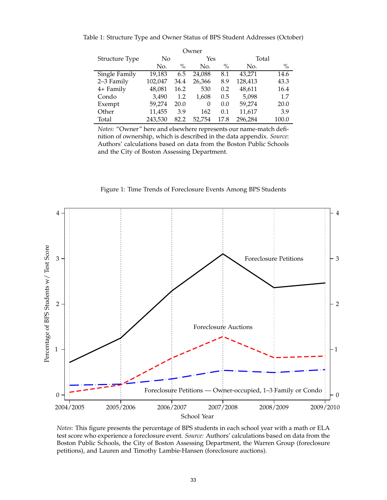Table 1: Structure Type and Owner Status of BPS Student Addresses (October)

<span id="page-32-1"></span>

| Owner          |         |               |          |      |         |       |  |  |  |  |
|----------------|---------|---------------|----------|------|---------|-------|--|--|--|--|
| Structure Type | No      |               | Yes      |      |         | Total |  |  |  |  |
|                | No.     | $\frac{0}{0}$ | No.      | $\%$ | No.     | $\%$  |  |  |  |  |
| Single Family  | 19,183  | 6.5           | 24,088   | 8.1  | 43,271  | 14.6  |  |  |  |  |
| 2-3 Family     | 102,047 | 34.4          | 26,366   | 8.9  | 128,413 | 43.3  |  |  |  |  |
| 4+ Family      | 48,081  | 16.2          | 530      | 0.2  | 48,611  | 16.4  |  |  |  |  |
| Condo          | 3.490   | 1.2           | 1,608    | 0.5  | 5,098   | 1.7   |  |  |  |  |
| Exempt         | 59,274  | 20.0          | $\Omega$ | 0.0  | 59,274  | 20.0  |  |  |  |  |
| Other          | 11,455  | 3.9           | 162      | 0.1  | 11,617  | 3.9   |  |  |  |  |
| Total          | 243.530 | 82.2          | 52,754   | 17.8 | 296,284 | 100.0 |  |  |  |  |

*Notes:* "Owner" here and elsewhere represents our name-match definition of ownership, which is described in the data appendix. *Source*: Authors' calculations based on data from the Boston Public Schools and the City of Boston Assessing Department.

<span id="page-32-0"></span>

Figure 1: Time Trends of Foreclosure Events Among BPS Students

*Notes*: This figure presents the percentage of BPS students in each school year with a math or ELA test score who experience a foreclosure event. *Source:* Authors' calculations based on data from the Boston Public Schools, the City of Boston Assessing Department, the Warren Group (foreclosure petitions), and Lauren and Timothy Lambie-Hansen (foreclosure auctions).

School Year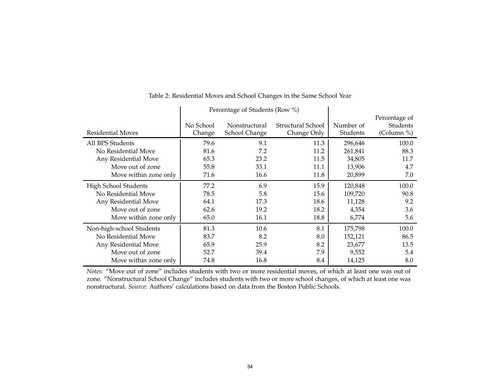|                          | Percentage of Students (Row %) |               |                   |           |               |  |  |  |  |  |
|--------------------------|--------------------------------|---------------|-------------------|-----------|---------------|--|--|--|--|--|
|                          |                                |               |                   |           | Percentage of |  |  |  |  |  |
|                          | No School                      | Nonstructural | Structural School | Number of | Students      |  |  |  |  |  |
| Residential Moves        | Change                         | School Change | Change Only       | Students  | (Column %)    |  |  |  |  |  |
| All BPS Students         | 79.6                           | 9.1           | 11.3              | 296,646   | 100.0         |  |  |  |  |  |
| No Residential Move      | 81.6                           | 7.2           | 11.2              | 261,841   | 88.3          |  |  |  |  |  |
| Any Residential Move     | 65.3                           | 23.2          | 11.5              | 34,805    | 11.7          |  |  |  |  |  |
| Move out of zone         | 55.8                           | 33.1          | 11.1              | 13,906    | 4.7           |  |  |  |  |  |
| Move within zone only    | 71.6                           | 16.6          | 11.8              | 20,899    | 7.0           |  |  |  |  |  |
| High School Students     | 77.2                           | 6.9           | 15.9              | 120,848   | 100.0         |  |  |  |  |  |
| No Residential Move      | 78.5                           | 5.8           | 15.6              | 109,720   | 90.8          |  |  |  |  |  |
| Any Residential Move     | 64.1                           | 17.3          | 18.6              | 11,128    | 9.2           |  |  |  |  |  |
| Move out of zone         | 62.6                           | 19.2          | 18.2              | 4,354     | 3.6           |  |  |  |  |  |
| Move within zone only    | 65.0                           | 16.1          | 18.8              | 6,774     | 5.6           |  |  |  |  |  |
| Non-high-school Students | 81.3                           | 10.6          | 8.1               | 175,798   | 100.0         |  |  |  |  |  |
| No Residential Move      | 83.7                           | 8.2           | 8.0               | 152,121   | 86.5          |  |  |  |  |  |
| Any Residential Move     | 65.9                           | 25.9          | 8.2               | 23,677    | 13.5          |  |  |  |  |  |
| Move out of zone         | 52.7                           | 39.4          | 7.9               | 9,552     | 5.4           |  |  |  |  |  |
| Move within zone only    | 74.8                           | 16.8          | 8.4               | 14,125    | 8.0           |  |  |  |  |  |

#### Table 2: Residential Moves and School Changes in the Same School Year

*Notes:* "Move out of zone" includes students with two or more residential moves, of which at least one was out of zone. "Nonstructural School Change" includes students with two or more school changes, of which at least one wasnonstructural. *Source*: Authors' calculations based on data from the Boston Public Schools.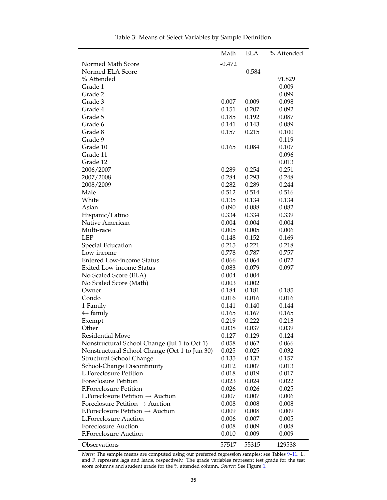|                                               | Math     | <b>ELA</b> | % Attended     |
|-----------------------------------------------|----------|------------|----------------|
| Normed Math Score                             | $-0.472$ |            |                |
| Normed ELA Score                              |          | $-0.584$   |                |
| % Attended                                    |          |            | 91.829         |
| Grade 1                                       |          |            | 0.009          |
| Grade 2                                       |          |            | 0.099          |
| Grade 3                                       | 0.007    | 0.009      | 0.098          |
| Grade 4                                       | 0.151    | 0.207      | 0.092          |
| Grade 5                                       | 0.185    | 0.192      | 0.087          |
| Grade 6                                       | 0.141    | 0.143      | 0.089          |
| Grade 8                                       | 0.157    | 0.215      | 0.100          |
| Grade 9                                       |          |            | 0.119          |
| Grade 10                                      | 0.165    | 0.084      | 0.107          |
| Grade 11                                      |          |            | 0.096          |
| Grade 12                                      |          |            | 0.013          |
| 2006/2007                                     | 0.289    | 0.254      | 0.251          |
| 2007/2008                                     | 0.284    | 0.293      | 0.248          |
| 2008/2009                                     | 0.282    | 0.289      |                |
| Male                                          | 0.512    | 0.514      | 0.244<br>0.516 |
| White                                         |          |            |                |
| Asian                                         | 0.135    | 0.134      | 0.134          |
|                                               | 0.090    | 0.088      | 0.082          |
| Hispanic/Latino                               | 0.334    | 0.334      | 0.339          |
| Native American                               | 0.004    | 0.004      | 0.004          |
| Multi-race                                    | 0.005    | 0.005      | 0.006          |
| <b>LEP</b>                                    | 0.148    | 0.152      | 0.169          |
| Special Education                             | 0.215    | 0.221      | 0.218          |
| Low-income                                    | 0.778    | 0.787      | 0.757          |
| <b>Entered Low-income Status</b>              | 0.066    | 0.064      | 0.072          |
| <b>Exited Low-income Status</b>               | 0.083    | 0.079      | 0.097          |
| No Scaled Score (ELA)                         | 0.004    | 0.004      |                |
| No Scaled Score (Math)                        | 0.003    | 0.002      |                |
| Owner                                         | 0.184    | 0.181      | 0.185          |
| Condo                                         | 0.016    | 0.016      | 0.016          |
| 1 Family                                      | 0.141    | 0.140      | 0.144          |
| 4+ family                                     | 0.165    | 0.167      | 0.165          |
| Exempt                                        | 0.219    | 0.222      | 0.213          |
| Other                                         | 0.038    | 0.037      | 0.039          |
| Residential Move                              | 0.127    | 0.129      | 0.124          |
| Nonstructural School Change (Jul 1 to Oct 1)  | 0.058    | 0.062      | 0.066          |
| Nonstructural School Change (Oct 1 to Jun 30) | 0.025    | 0.025      | 0.032          |
| Structural School Change                      | 0.135    | 0.132      | 0.157          |
| School-Change Discontinuity                   | 0.012    | 0.007      | 0.013          |
| <b>L.Foreclosure Petition</b>                 | 0.018    | 0.019      | 0.017          |
| <b>Foreclosure Petition</b>                   | 0.023    | 0.024      | 0.022          |
| <b>F.Foreclosure Petition</b>                 | 0.026    | 0.026      | 0.025          |
| L. Foreclosure Petition $\rightarrow$ Auction | 0.007    | 0.007      | 0.006          |
| Foreclosure Petition $\rightarrow$ Auction    | 0.008    | 0.008      | 0.008          |
| F.Foreclosure Petition $\rightarrow$ Auction  | 0.009    | 0.008      | 0.009          |
| <b>L.Foreclosure Auction</b>                  | 0.006    | 0.007      | 0.005          |
| <b>Foreclosure Auction</b>                    | 0.008    | 0.009      | 0.008          |
| <b>F.Foreclosure Auction</b>                  | 0.010    | 0.009      | 0.009          |
| Observations                                  | 57517    | 55315      | 129538         |

Table 3: Means of Select Variables by Sample Definition

*Notes:* The sample means are computed using our preferred regression samples; see Tables [9–](#page-41-0)[11.](#page-43-0) L. and F. represent lags and leads, respectively. The grade variables represent test grade for the test score columns and student grade for the % attended column. *Source:* See Figure [1.](#page-32-0)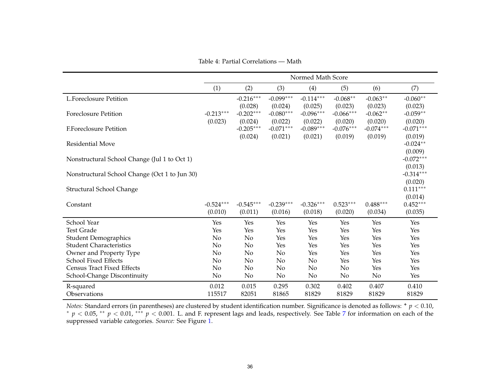Table 4: Partial Correlations — Math

|                                               |                        |                                   |                                   | Normed Math Score                 |                                   |                                   |                                   |
|-----------------------------------------------|------------------------|-----------------------------------|-----------------------------------|-----------------------------------|-----------------------------------|-----------------------------------|-----------------------------------|
|                                               | (1)                    | (2)                               | (3)                               | (4)                               | (5)                               | (6)                               | (7)                               |
| <b>L.Foreclosure Petition</b>                 |                        | $-0.216***$<br>(0.028)            | $-0.099***$<br>(0.024)            | $-0.114***$<br>(0.025)            | $-0.068**$<br>(0.023)             | $-0.063**$<br>(0.023)             | $-0.060**$<br>(0.023)             |
| <b>Foreclosure Petition</b>                   | $-0.213***$            | $-0.202***$                       | $-0.080***$                       | $-0.096***$                       | $-0.066***$                       | $-0.062**$                        | $-0.059**$                        |
| <b>F.Foreclosure Petition</b>                 | (0.023)                | (0.024)<br>$-0.205***$<br>(0.024) | (0.022)<br>$-0.071***$<br>(0.021) | (0.022)<br>$-0.089***$<br>(0.021) | (0.020)<br>$-0.076***$<br>(0.019) | (0.020)<br>$-0.074***$<br>(0.019) | (0.020)<br>$-0.071***$<br>(0.019) |
| <b>Residential Move</b>                       |                        |                                   |                                   |                                   |                                   |                                   | $-0.024**$<br>(0.009)             |
| Nonstructural School Change (Jul 1 to Oct 1)  |                        |                                   |                                   |                                   |                                   |                                   | $-0.072***$<br>(0.013)            |
| Nonstructural School Change (Oct 1 to Jun 30) |                        |                                   |                                   |                                   |                                   |                                   | $-0.314***$<br>(0.020)            |
| Structural School Change                      |                        |                                   |                                   |                                   |                                   |                                   | $0.111***$<br>(0.014)             |
| Constant                                      | $-0.524***$<br>(0.010) | $-0.545***$<br>(0.011)            | $-0.239***$<br>(0.016)            | $-0.326***$<br>(0.018)            | $0.523***$<br>(0.020)             | $0.488***$<br>(0.034)             | $0.452***$<br>(0.035)             |
| School Year                                   | Yes                    | Yes                               | Yes                               | Yes                               | Yes                               | Yes                               | Yes                               |
| <b>Test Grade</b>                             | Yes                    | Yes                               | Yes                               | Yes                               | Yes                               | Yes                               | Yes                               |
| <b>Student Demographics</b>                   | No                     | No                                | Yes                               | Yes                               | Yes                               | Yes                               | Yes                               |
| <b>Student Characteristics</b>                | No                     | No                                | Yes                               | Yes                               | Yes                               | Yes                               | Yes                               |
| Owner and Property Type                       | No                     | No                                | N <sub>o</sub>                    | Yes                               | Yes                               | Yes                               | Yes                               |
| <b>School Fixed Effects</b>                   | No                     | No                                | No                                | No                                | Yes                               | Yes                               | Yes                               |
| <b>Census Tract Fixed Effects</b>             | No                     | No                                | No                                | No                                | No                                | Yes                               | Yes                               |
| School-Change Discontinuity                   | No                     | No                                | No                                | No                                | No                                | No                                | Yes                               |
| R-squared                                     | 0.012                  | 0.015                             | 0.295                             | 0.302                             | 0.402                             | 0.407                             | 0.410                             |
| Observations                                  | 115517                 | 82051                             | 81865                             | 81829                             | 81829                             | 81829                             | 81829                             |

*Notes:* Standard errors (in parentheses) are clustered by student identification number. Significance is denoted as follows: **<sup>+</sup>** *p* <sup>&</sup>lt; 0.10, ∗ *p* <sup>&</sup>lt; 0.05, ∗∗ *<sup>p</sup>* <sup>&</sup>lt; 0.01, ∗∗∗ *<sup>p</sup>* <sup>&</sup>lt; 0.001. L. and F. represen<sup>t</sup> lags and leads, respectively. See Table [7](#page-38-0) for information on each of the suppressed variable categories. *Source:* See Figure [1.](#page-32-1)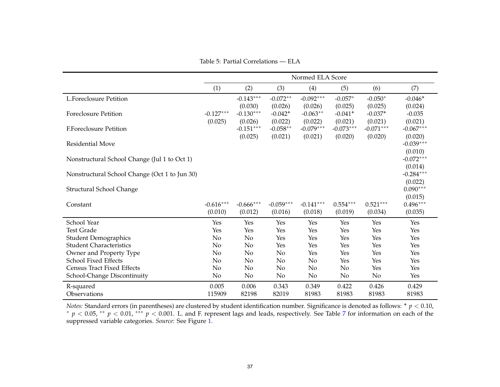Table 5: Partial Correlations — ELA

|                                               | Normed ELA Score       |                                   |                                             |                                  |                                             |                                 |                                   |  |
|-----------------------------------------------|------------------------|-----------------------------------|---------------------------------------------|----------------------------------|---------------------------------------------|---------------------------------|-----------------------------------|--|
|                                               | (1)                    | (2)                               | (3)                                         | (4)                              | (5)                                         | (6)                             | (7)                               |  |
| <b>L.Foreclosure Petition</b>                 |                        | $-0.143***$                       | $-0.072**$                                  | $-0.092***$                      | $-0.057*$                                   | $-0.050*$                       | $-0.046+$                         |  |
| <b>Foreclosure Petition</b>                   | $-0.127***$<br>(0.025) | (0.030)<br>$-0.130***$<br>(0.026) | (0.026)<br>$-0.042$ <sup>+</sup><br>(0.022) | (0.026)<br>$-0.063**$<br>(0.022) | (0.025)<br>$-0.041$ <sup>+</sup><br>(0.021) | (0.025)<br>$-0.037+$<br>(0.021) | (0.024)<br>$-0.035$<br>(0.021)    |  |
| F.Foreclosure Petition                        |                        | $-0.151***$                       | $-0.058**$                                  | $-0.079***$                      | $-0.073***$                                 | $-0.071***$                     | $-0.067***$                       |  |
| <b>Residential Move</b>                       |                        | (0.025)                           | (0.021)                                     | (0.021)                          | (0.020)                                     | (0.020)                         | (0.020)<br>$-0.039***$<br>(0.010) |  |
| Nonstructural School Change (Jul 1 to Oct 1)  |                        |                                   |                                             |                                  |                                             |                                 | $-0.072***$                       |  |
| Nonstructural School Change (Oct 1 to Jun 30) |                        |                                   |                                             |                                  |                                             |                                 | (0.014)<br>$-0.284***$<br>(0.022) |  |
| Structural School Change                      |                        |                                   |                                             |                                  |                                             |                                 | $0.090***$                        |  |
| Constant                                      | $-0.616***$<br>(0.010) | $-0.666***$<br>(0.012)            | $-0.059***$<br>(0.016)                      | $-0.141***$<br>(0.018)           | $0.554***$<br>(0.019)                       | $0.521***$<br>(0.034)           | (0.015)<br>$0.496***$<br>(0.035)  |  |
| School Year                                   | Yes                    | Yes                               | Yes                                         | Yes                              | Yes                                         | Yes                             | Yes                               |  |
| <b>Test Grade</b>                             | Yes                    | Yes                               | Yes                                         | Yes                              | Yes                                         | Yes                             | Yes                               |  |
| <b>Student Demographics</b>                   | No                     | No                                | Yes                                         | Yes                              | Yes                                         | Yes                             | Yes                               |  |
| <b>Student Characteristics</b>                | No                     | No                                | Yes                                         | Yes                              | Yes                                         | Yes                             | Yes                               |  |
| Owner and Property Type                       | No                     | No                                | No                                          | Yes                              | Yes                                         | Yes                             | Yes                               |  |
| <b>School Fixed Effects</b>                   | No                     | No                                | No                                          | No                               | Yes                                         | Yes                             | Yes                               |  |
| <b>Census Tract Fixed Effects</b>             | No                     | No                                | No                                          | No                               | No                                          | Yes                             | Yes                               |  |
| School-Change Discontinuity                   | No                     | No                                | No                                          | No                               | No                                          | No                              | Yes                               |  |
| R-squared                                     | 0.005                  | 0.006                             | 0.343                                       | 0.349                            | 0.422                                       | 0.426                           | 0.429                             |  |
| Observations                                  | 115909                 | 82198                             | 82019                                       | 81983                            | 81983                                       | 81983                           | 81983                             |  |

*Notes:* Standard errors (in parentheses) are clustered by student identification number. Significance is denoted as follows: **<sup>+</sup>** *p* <sup>&</sup>lt; 0.10, ∗ *p* <sup>&</sup>lt; 0.05, ∗∗ *<sup>p</sup>* <sup>&</sup>lt; 0.01, ∗∗∗ *<sup>p</sup>* <sup>&</sup>lt; 0.001. L. and F. represen<sup>t</sup> lags and leads, respectively. See Table [7](#page-38-0) for information on each of the suppressed variable categories. *Source:* See Figure [1.](#page-32-1)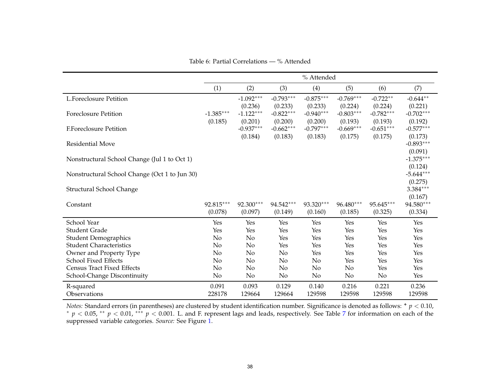Table 6: Partial Correlations — % Attended

|                                               |                        | % Attended             |                        |                        |                        |                        |                        |  |
|-----------------------------------------------|------------------------|------------------------|------------------------|------------------------|------------------------|------------------------|------------------------|--|
|                                               | (1)                    | (2)                    | (3)                    | (4)                    | (5)                    | (6)                    | (7)                    |  |
| <b>L.Foreclosure Petition</b>                 |                        | $-1.092***$<br>(0.236) | $-0.793***$<br>(0.233) | $-0.875***$<br>(0.233) | $-0.769***$<br>(0.224) | $-0.722**$<br>(0.224)  | $-0.644**$<br>(0.221)  |  |
| <b>Foreclosure Petition</b>                   | $-1.385***$<br>(0.185) | $-1.122***$<br>(0.201) | $-0.822***$<br>(0.200) | $-0.940***$<br>(0.200) | $-0.803***$<br>(0.193) | $-0.782***$<br>(0.193) | $-0.702***$<br>(0.192) |  |
| F.Foreclosure Petition                        |                        | $-0.937***$<br>(0.184) | $-0.662***$<br>(0.183) | $-0.797***$<br>(0.183) | $-0.669***$<br>(0.175) | $-0.651***$<br>(0.175) | $-0.577***$<br>(0.173) |  |
| <b>Residential Move</b>                       |                        |                        |                        |                        |                        |                        | $-0.893***$<br>(0.091) |  |
| Nonstructural School Change (Jul 1 to Oct 1)  |                        |                        |                        |                        |                        |                        | $-1.375***$<br>(0.124) |  |
| Nonstructural School Change (Oct 1 to Jun 30) |                        |                        |                        |                        |                        |                        | $-5.644***$<br>(0.275) |  |
| Structural School Change                      |                        |                        |                        |                        |                        |                        | $3.384***$<br>(0.167)  |  |
| Constant                                      | 92.815***<br>(0.078)   | 92.300***<br>(0.097)   | 94.542***<br>(0.149)   | 93.320***<br>(0.160)   | 96.480***<br>(0.185)   | 95.645***<br>(0.325)   | 94.580***<br>(0.334)   |  |
| School Year                                   | Yes                    | Yes                    | Yes                    | Yes                    | Yes                    | Yes                    | Yes                    |  |
| <b>Student Grade</b>                          | Yes                    | Yes                    | Yes                    | Yes                    | Yes                    | Yes                    | Yes                    |  |
| <b>Student Demographics</b>                   | No                     | No                     | Yes                    | Yes                    | Yes                    | Yes                    | Yes                    |  |
| <b>Student Characteristics</b>                | No                     | No                     | Yes                    | Yes                    | Yes                    | Yes                    | Yes                    |  |
| Owner and Property Type                       | No                     | No                     | No                     | Yes                    | Yes                    | Yes                    | Yes                    |  |
| <b>School Fixed Effects</b>                   | No                     | No                     | No                     | No                     | Yes                    | Yes                    | Yes                    |  |
| <b>Census Tract Fixed Effects</b>             | No                     | No                     | No                     | No                     | No                     | Yes                    | Yes                    |  |
| School-Change Discontinuity                   | No                     | No                     | No                     | No                     | No                     | No                     | Yes                    |  |
| R-squared                                     | 0.091                  | 0.093                  | 0.129                  | 0.140                  | 0.216                  | 0.221                  | 0.236                  |  |
| Observations                                  | 228178                 | 129664                 | 129664                 | 129598                 | 129598                 | 129598                 | 129598                 |  |

*Notes:* Standard errors (in parentheses) are clustered by student identification number. Significance is denoted as follows: **<sup>+</sup>** *p* <sup>&</sup>lt; 0.10, ∗ *p* <sup>&</sup>lt; 0.05, ∗∗ *<sup>p</sup>* <sup>&</sup>lt; 0.01, ∗∗∗ *<sup>p</sup>* <sup>&</sup>lt; 0.001. L. and F. represen<sup>t</sup> lags and leads, respectively. See Table [7](#page-38-0) for information on each of the suppressed variable categories. *Source:* See Figure [1.](#page-32-1)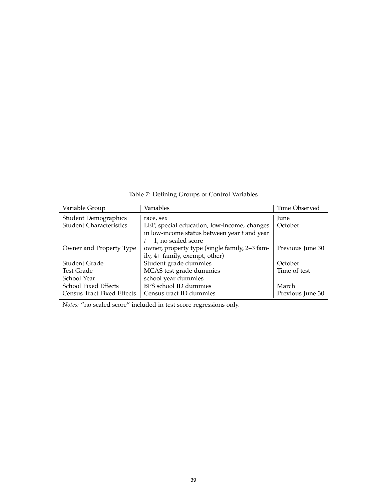<span id="page-38-1"></span>

| Variable Group                 | Variables                                      | Time Observed    |
|--------------------------------|------------------------------------------------|------------------|
| <b>Student Demographics</b>    | race, sex                                      | June             |
| <b>Student Characteristics</b> | LEP, special education, low-income, changes    | October          |
|                                | in low-income status between year $t$ and year |                  |
|                                | $t+1$ , no scaled score                        |                  |
| Owner and Property Type        | owner, property type (single family, 2-3 fam-  | Previous June 30 |
|                                | ily, 4+ family, exempt, other)                 |                  |
| Student Grade                  | Student grade dummies                          | October          |
| Test Grade                     | MCAS test grade dummies                        | Time of test     |
| School Year                    | school year dummies                            |                  |
| School Fixed Effects           | BPS school ID dummies                          | March            |
| Census Tract Fixed Effects     | Census tract ID dummies                        | Previous June 30 |

<span id="page-38-0"></span>Table 7: Defining Groups of Control Variables

*Notes:* "no scaled score" included in test score regressions only.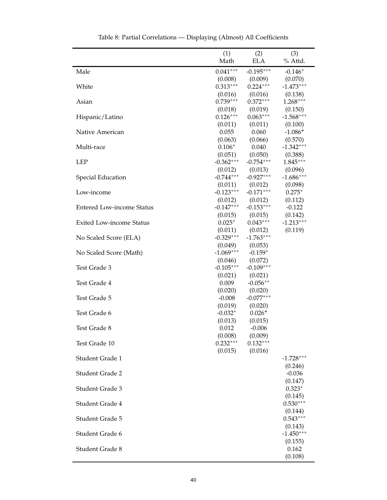| (1)<br>(3)<br>(2)<br>Math<br><b>ELA</b><br>% Attd.<br>$0.041^{***}\,$<br>$-0.195***$<br>$-0.146*$<br>Male<br>(0.009)<br>(0.070)<br>(0.008)<br>$0.313***$<br>$0.224***$<br>$-1.473***$<br>White<br>(0.016)<br>(0.016)<br>(0.138)<br>$0.739***$<br>$0.372***$<br>$1.268***$<br>Asian<br>(0.019)<br>(0.018)<br>(0.150)<br>$0.126***$<br>$0.063***$<br>$-1.568***$<br>Hispanic/Latino<br>(0.011)<br>(0.011)<br>(0.100)<br>0.060<br>$-1.086+$<br>0.055<br>Native American<br>(0.063)<br>(0.570)<br>(0.066)<br>$-1.342***$<br>$0.106*$<br>0.040<br>Multi-race<br>(0.051)<br>(0.050)<br>(0.388)<br>$-0.362***$<br>$-0.754***$<br>$1.845***$<br><b>LEP</b><br>(0.012)<br>(0.096)<br>(0.013)<br>$-0.927***$<br>$-0.744***$<br>$-1.686***$<br>Special Education<br>(0.098)<br>(0.011)<br>(0.012)<br>$-0.123***$<br>$-0.171***$<br>$0.275*$<br>Low-income<br>(0.012)<br>(0.012)<br>(0.112)<br>$-0.147***$<br>$-0.153***$<br>$-0.122$<br><b>Entered Low-income Status</b><br>(0.015)<br>(0.142)<br>(0.015)<br>$-1.213***$<br>$0.025*$<br>$0.043***$<br>Exited Low-income Status<br>(0.012)<br>(0.119)<br>(0.011)<br>$-0.329***$<br>$-1.763***$<br>No Scaled Score (ELA)<br>(0.053)<br>(0.049)<br>$-1.069***$<br>$-0.159*$<br>No Scaled Score (Math)<br>(0.072)<br>(0.046)<br>$-0.105***$<br>$-0.109***$<br>Test Grade 3<br>(0.021)<br>(0.021)<br>0.009<br>$-0.056**$<br>Test Grade 4<br>(0.020)<br>(0.020)<br>$-0.077***$<br>$-0.008$<br>Test Grade 5<br>(0.019)<br>(0.020)<br>$-0.032*$<br>$0.026+$<br>Test Grade 6<br>(0.013)<br>(0.015)<br>0.012<br>$-0.006$<br>Test Grade 8<br>(0.008)<br>(0.009)<br>$0.232***$<br>$0.132***$<br>Test Grade 10<br>(0.015)<br>(0.016)<br>$-1.728***$<br>Student Grade 1<br>(0.246)<br>$-0.036$<br><b>Student Grade 2</b><br>(0.147)<br>$0.323*$<br>Student Grade 3<br>(0.145)<br>$0.530***$<br>Student Grade 4<br>(0.144)<br>$0.543***$<br>Student Grade 5<br>(0.143)<br>$-1.450***$<br>Student Grade 6<br>(0.155)<br>Student Grade 8<br>0.162 |  |         |
|-----------------------------------------------------------------------------------------------------------------------------------------------------------------------------------------------------------------------------------------------------------------------------------------------------------------------------------------------------------------------------------------------------------------------------------------------------------------------------------------------------------------------------------------------------------------------------------------------------------------------------------------------------------------------------------------------------------------------------------------------------------------------------------------------------------------------------------------------------------------------------------------------------------------------------------------------------------------------------------------------------------------------------------------------------------------------------------------------------------------------------------------------------------------------------------------------------------------------------------------------------------------------------------------------------------------------------------------------------------------------------------------------------------------------------------------------------------------------------------------------------------------------------------------------------------------------------------------------------------------------------------------------------------------------------------------------------------------------------------------------------------------------------------------------------------------------------------------------------------------------------------------------------------------------------------------------------------------------|--|---------|
|                                                                                                                                                                                                                                                                                                                                                                                                                                                                                                                                                                                                                                                                                                                                                                                                                                                                                                                                                                                                                                                                                                                                                                                                                                                                                                                                                                                                                                                                                                                                                                                                                                                                                                                                                                                                                                                                                                                                                                       |  |         |
|                                                                                                                                                                                                                                                                                                                                                                                                                                                                                                                                                                                                                                                                                                                                                                                                                                                                                                                                                                                                                                                                                                                                                                                                                                                                                                                                                                                                                                                                                                                                                                                                                                                                                                                                                                                                                                                                                                                                                                       |  |         |
|                                                                                                                                                                                                                                                                                                                                                                                                                                                                                                                                                                                                                                                                                                                                                                                                                                                                                                                                                                                                                                                                                                                                                                                                                                                                                                                                                                                                                                                                                                                                                                                                                                                                                                                                                                                                                                                                                                                                                                       |  |         |
|                                                                                                                                                                                                                                                                                                                                                                                                                                                                                                                                                                                                                                                                                                                                                                                                                                                                                                                                                                                                                                                                                                                                                                                                                                                                                                                                                                                                                                                                                                                                                                                                                                                                                                                                                                                                                                                                                                                                                                       |  |         |
|                                                                                                                                                                                                                                                                                                                                                                                                                                                                                                                                                                                                                                                                                                                                                                                                                                                                                                                                                                                                                                                                                                                                                                                                                                                                                                                                                                                                                                                                                                                                                                                                                                                                                                                                                                                                                                                                                                                                                                       |  |         |
|                                                                                                                                                                                                                                                                                                                                                                                                                                                                                                                                                                                                                                                                                                                                                                                                                                                                                                                                                                                                                                                                                                                                                                                                                                                                                                                                                                                                                                                                                                                                                                                                                                                                                                                                                                                                                                                                                                                                                                       |  |         |
|                                                                                                                                                                                                                                                                                                                                                                                                                                                                                                                                                                                                                                                                                                                                                                                                                                                                                                                                                                                                                                                                                                                                                                                                                                                                                                                                                                                                                                                                                                                                                                                                                                                                                                                                                                                                                                                                                                                                                                       |  |         |
|                                                                                                                                                                                                                                                                                                                                                                                                                                                                                                                                                                                                                                                                                                                                                                                                                                                                                                                                                                                                                                                                                                                                                                                                                                                                                                                                                                                                                                                                                                                                                                                                                                                                                                                                                                                                                                                                                                                                                                       |  |         |
|                                                                                                                                                                                                                                                                                                                                                                                                                                                                                                                                                                                                                                                                                                                                                                                                                                                                                                                                                                                                                                                                                                                                                                                                                                                                                                                                                                                                                                                                                                                                                                                                                                                                                                                                                                                                                                                                                                                                                                       |  |         |
|                                                                                                                                                                                                                                                                                                                                                                                                                                                                                                                                                                                                                                                                                                                                                                                                                                                                                                                                                                                                                                                                                                                                                                                                                                                                                                                                                                                                                                                                                                                                                                                                                                                                                                                                                                                                                                                                                                                                                                       |  |         |
|                                                                                                                                                                                                                                                                                                                                                                                                                                                                                                                                                                                                                                                                                                                                                                                                                                                                                                                                                                                                                                                                                                                                                                                                                                                                                                                                                                                                                                                                                                                                                                                                                                                                                                                                                                                                                                                                                                                                                                       |  |         |
|                                                                                                                                                                                                                                                                                                                                                                                                                                                                                                                                                                                                                                                                                                                                                                                                                                                                                                                                                                                                                                                                                                                                                                                                                                                                                                                                                                                                                                                                                                                                                                                                                                                                                                                                                                                                                                                                                                                                                                       |  |         |
|                                                                                                                                                                                                                                                                                                                                                                                                                                                                                                                                                                                                                                                                                                                                                                                                                                                                                                                                                                                                                                                                                                                                                                                                                                                                                                                                                                                                                                                                                                                                                                                                                                                                                                                                                                                                                                                                                                                                                                       |  |         |
|                                                                                                                                                                                                                                                                                                                                                                                                                                                                                                                                                                                                                                                                                                                                                                                                                                                                                                                                                                                                                                                                                                                                                                                                                                                                                                                                                                                                                                                                                                                                                                                                                                                                                                                                                                                                                                                                                                                                                                       |  |         |
|                                                                                                                                                                                                                                                                                                                                                                                                                                                                                                                                                                                                                                                                                                                                                                                                                                                                                                                                                                                                                                                                                                                                                                                                                                                                                                                                                                                                                                                                                                                                                                                                                                                                                                                                                                                                                                                                                                                                                                       |  |         |
|                                                                                                                                                                                                                                                                                                                                                                                                                                                                                                                                                                                                                                                                                                                                                                                                                                                                                                                                                                                                                                                                                                                                                                                                                                                                                                                                                                                                                                                                                                                                                                                                                                                                                                                                                                                                                                                                                                                                                                       |  |         |
|                                                                                                                                                                                                                                                                                                                                                                                                                                                                                                                                                                                                                                                                                                                                                                                                                                                                                                                                                                                                                                                                                                                                                                                                                                                                                                                                                                                                                                                                                                                                                                                                                                                                                                                                                                                                                                                                                                                                                                       |  |         |
|                                                                                                                                                                                                                                                                                                                                                                                                                                                                                                                                                                                                                                                                                                                                                                                                                                                                                                                                                                                                                                                                                                                                                                                                                                                                                                                                                                                                                                                                                                                                                                                                                                                                                                                                                                                                                                                                                                                                                                       |  |         |
|                                                                                                                                                                                                                                                                                                                                                                                                                                                                                                                                                                                                                                                                                                                                                                                                                                                                                                                                                                                                                                                                                                                                                                                                                                                                                                                                                                                                                                                                                                                                                                                                                                                                                                                                                                                                                                                                                                                                                                       |  |         |
|                                                                                                                                                                                                                                                                                                                                                                                                                                                                                                                                                                                                                                                                                                                                                                                                                                                                                                                                                                                                                                                                                                                                                                                                                                                                                                                                                                                                                                                                                                                                                                                                                                                                                                                                                                                                                                                                                                                                                                       |  |         |
|                                                                                                                                                                                                                                                                                                                                                                                                                                                                                                                                                                                                                                                                                                                                                                                                                                                                                                                                                                                                                                                                                                                                                                                                                                                                                                                                                                                                                                                                                                                                                                                                                                                                                                                                                                                                                                                                                                                                                                       |  |         |
|                                                                                                                                                                                                                                                                                                                                                                                                                                                                                                                                                                                                                                                                                                                                                                                                                                                                                                                                                                                                                                                                                                                                                                                                                                                                                                                                                                                                                                                                                                                                                                                                                                                                                                                                                                                                                                                                                                                                                                       |  |         |
|                                                                                                                                                                                                                                                                                                                                                                                                                                                                                                                                                                                                                                                                                                                                                                                                                                                                                                                                                                                                                                                                                                                                                                                                                                                                                                                                                                                                                                                                                                                                                                                                                                                                                                                                                                                                                                                                                                                                                                       |  |         |
|                                                                                                                                                                                                                                                                                                                                                                                                                                                                                                                                                                                                                                                                                                                                                                                                                                                                                                                                                                                                                                                                                                                                                                                                                                                                                                                                                                                                                                                                                                                                                                                                                                                                                                                                                                                                                                                                                                                                                                       |  |         |
|                                                                                                                                                                                                                                                                                                                                                                                                                                                                                                                                                                                                                                                                                                                                                                                                                                                                                                                                                                                                                                                                                                                                                                                                                                                                                                                                                                                                                                                                                                                                                                                                                                                                                                                                                                                                                                                                                                                                                                       |  |         |
|                                                                                                                                                                                                                                                                                                                                                                                                                                                                                                                                                                                                                                                                                                                                                                                                                                                                                                                                                                                                                                                                                                                                                                                                                                                                                                                                                                                                                                                                                                                                                                                                                                                                                                                                                                                                                                                                                                                                                                       |  |         |
|                                                                                                                                                                                                                                                                                                                                                                                                                                                                                                                                                                                                                                                                                                                                                                                                                                                                                                                                                                                                                                                                                                                                                                                                                                                                                                                                                                                                                                                                                                                                                                                                                                                                                                                                                                                                                                                                                                                                                                       |  |         |
|                                                                                                                                                                                                                                                                                                                                                                                                                                                                                                                                                                                                                                                                                                                                                                                                                                                                                                                                                                                                                                                                                                                                                                                                                                                                                                                                                                                                                                                                                                                                                                                                                                                                                                                                                                                                                                                                                                                                                                       |  |         |
|                                                                                                                                                                                                                                                                                                                                                                                                                                                                                                                                                                                                                                                                                                                                                                                                                                                                                                                                                                                                                                                                                                                                                                                                                                                                                                                                                                                                                                                                                                                                                                                                                                                                                                                                                                                                                                                                                                                                                                       |  |         |
|                                                                                                                                                                                                                                                                                                                                                                                                                                                                                                                                                                                                                                                                                                                                                                                                                                                                                                                                                                                                                                                                                                                                                                                                                                                                                                                                                                                                                                                                                                                                                                                                                                                                                                                                                                                                                                                                                                                                                                       |  |         |
|                                                                                                                                                                                                                                                                                                                                                                                                                                                                                                                                                                                                                                                                                                                                                                                                                                                                                                                                                                                                                                                                                                                                                                                                                                                                                                                                                                                                                                                                                                                                                                                                                                                                                                                                                                                                                                                                                                                                                                       |  |         |
|                                                                                                                                                                                                                                                                                                                                                                                                                                                                                                                                                                                                                                                                                                                                                                                                                                                                                                                                                                                                                                                                                                                                                                                                                                                                                                                                                                                                                                                                                                                                                                                                                                                                                                                                                                                                                                                                                                                                                                       |  |         |
|                                                                                                                                                                                                                                                                                                                                                                                                                                                                                                                                                                                                                                                                                                                                                                                                                                                                                                                                                                                                                                                                                                                                                                                                                                                                                                                                                                                                                                                                                                                                                                                                                                                                                                                                                                                                                                                                                                                                                                       |  |         |
|                                                                                                                                                                                                                                                                                                                                                                                                                                                                                                                                                                                                                                                                                                                                                                                                                                                                                                                                                                                                                                                                                                                                                                                                                                                                                                                                                                                                                                                                                                                                                                                                                                                                                                                                                                                                                                                                                                                                                                       |  |         |
|                                                                                                                                                                                                                                                                                                                                                                                                                                                                                                                                                                                                                                                                                                                                                                                                                                                                                                                                                                                                                                                                                                                                                                                                                                                                                                                                                                                                                                                                                                                                                                                                                                                                                                                                                                                                                                                                                                                                                                       |  |         |
|                                                                                                                                                                                                                                                                                                                                                                                                                                                                                                                                                                                                                                                                                                                                                                                                                                                                                                                                                                                                                                                                                                                                                                                                                                                                                                                                                                                                                                                                                                                                                                                                                                                                                                                                                                                                                                                                                                                                                                       |  |         |
|                                                                                                                                                                                                                                                                                                                                                                                                                                                                                                                                                                                                                                                                                                                                                                                                                                                                                                                                                                                                                                                                                                                                                                                                                                                                                                                                                                                                                                                                                                                                                                                                                                                                                                                                                                                                                                                                                                                                                                       |  |         |
|                                                                                                                                                                                                                                                                                                                                                                                                                                                                                                                                                                                                                                                                                                                                                                                                                                                                                                                                                                                                                                                                                                                                                                                                                                                                                                                                                                                                                                                                                                                                                                                                                                                                                                                                                                                                                                                                                                                                                                       |  |         |
|                                                                                                                                                                                                                                                                                                                                                                                                                                                                                                                                                                                                                                                                                                                                                                                                                                                                                                                                                                                                                                                                                                                                                                                                                                                                                                                                                                                                                                                                                                                                                                                                                                                                                                                                                                                                                                                                                                                                                                       |  |         |
|                                                                                                                                                                                                                                                                                                                                                                                                                                                                                                                                                                                                                                                                                                                                                                                                                                                                                                                                                                                                                                                                                                                                                                                                                                                                                                                                                                                                                                                                                                                                                                                                                                                                                                                                                                                                                                                                                                                                                                       |  |         |
|                                                                                                                                                                                                                                                                                                                                                                                                                                                                                                                                                                                                                                                                                                                                                                                                                                                                                                                                                                                                                                                                                                                                                                                                                                                                                                                                                                                                                                                                                                                                                                                                                                                                                                                                                                                                                                                                                                                                                                       |  |         |
|                                                                                                                                                                                                                                                                                                                                                                                                                                                                                                                                                                                                                                                                                                                                                                                                                                                                                                                                                                                                                                                                                                                                                                                                                                                                                                                                                                                                                                                                                                                                                                                                                                                                                                                                                                                                                                                                                                                                                                       |  |         |
|                                                                                                                                                                                                                                                                                                                                                                                                                                                                                                                                                                                                                                                                                                                                                                                                                                                                                                                                                                                                                                                                                                                                                                                                                                                                                                                                                                                                                                                                                                                                                                                                                                                                                                                                                                                                                                                                                                                                                                       |  |         |
|                                                                                                                                                                                                                                                                                                                                                                                                                                                                                                                                                                                                                                                                                                                                                                                                                                                                                                                                                                                                                                                                                                                                                                                                                                                                                                                                                                                                                                                                                                                                                                                                                                                                                                                                                                                                                                                                                                                                                                       |  |         |
|                                                                                                                                                                                                                                                                                                                                                                                                                                                                                                                                                                                                                                                                                                                                                                                                                                                                                                                                                                                                                                                                                                                                                                                                                                                                                                                                                                                                                                                                                                                                                                                                                                                                                                                                                                                                                                                                                                                                                                       |  |         |
|                                                                                                                                                                                                                                                                                                                                                                                                                                                                                                                                                                                                                                                                                                                                                                                                                                                                                                                                                                                                                                                                                                                                                                                                                                                                                                                                                                                                                                                                                                                                                                                                                                                                                                                                                                                                                                                                                                                                                                       |  |         |
|                                                                                                                                                                                                                                                                                                                                                                                                                                                                                                                                                                                                                                                                                                                                                                                                                                                                                                                                                                                                                                                                                                                                                                                                                                                                                                                                                                                                                                                                                                                                                                                                                                                                                                                                                                                                                                                                                                                                                                       |  |         |
|                                                                                                                                                                                                                                                                                                                                                                                                                                                                                                                                                                                                                                                                                                                                                                                                                                                                                                                                                                                                                                                                                                                                                                                                                                                                                                                                                                                                                                                                                                                                                                                                                                                                                                                                                                                                                                                                                                                                                                       |  |         |
|                                                                                                                                                                                                                                                                                                                                                                                                                                                                                                                                                                                                                                                                                                                                                                                                                                                                                                                                                                                                                                                                                                                                                                                                                                                                                                                                                                                                                                                                                                                                                                                                                                                                                                                                                                                                                                                                                                                                                                       |  | (0.108) |

Table 8: Partial Correlations — Displaying (Almost) All Coefficients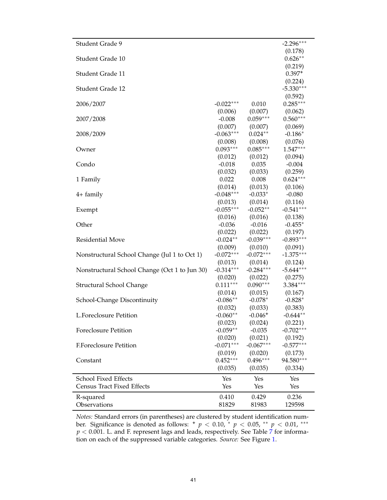| Student Grade 9                                                             | $-2.296***$            |
|-----------------------------------------------------------------------------|------------------------|
|                                                                             | (0.178)                |
| Student Grade 10                                                            | $0.626**$              |
|                                                                             | (0.219)                |
| Student Grade 11                                                            | $0.397+$               |
|                                                                             | (0.224)                |
| Student Grade 12                                                            | $-5.330***$            |
|                                                                             | (0.592)                |
| $-0.022***$<br>0.010<br>2006/2007                                           | $0.285***$             |
| (0.006)<br>(0.007)<br>$0.059***$<br>$-0.008$                                | (0.062)<br>$0.560***$  |
| 2007/2008<br>(0.007)<br>(0.007)                                             | (0.069)                |
| $-0.063***$<br>$0.024**$<br>2008/2009                                       | $-0.186*$              |
| (0.008)<br>(0.008)                                                          | (0.076)                |
| $0.093***$<br>$0.085***$<br>Owner                                           | $1.547***$             |
| (0.012)<br>(0.012)                                                          | (0.094)                |
| 0.035<br>Condo<br>$-0.018$                                                  | $-0.004$               |
| (0.032)<br>(0.033)                                                          | (0.259)                |
| 0.022<br>0.008<br>1 Family                                                  | $0.624***$             |
| (0.013)<br>(0.014)                                                          | (0.106)                |
| $-0.048***$<br>$-0.033*$<br>4+ family                                       | $-0.080$               |
| (0.014)<br>(0.013)                                                          | (0.116)                |
| $-0.055***$<br>$-0.052**$<br>Exempt                                         | $-0.541***$            |
| (0.016)<br>(0.016)                                                          | (0.138)                |
| Other<br>$-0.036$<br>$-0.016$                                               | $-0.455*$              |
| (0.022)<br>(0.022)                                                          | (0.197)                |
| $-0.024**$<br>$-0.039***$<br>Residential Move                               | $-0.893***$            |
| (0.009)<br>(0.010)                                                          | (0.091)                |
| $-0.072***$<br>$-0.072***$<br>Nonstructural School Change (Jul 1 to Oct 1)  | $-1.375***$            |
| (0.013)<br>(0.014)                                                          | (0.124)                |
| $-0.314***$<br>$-0.284***$<br>Nonstructural School Change (Oct 1 to Jun 30) | $-5.644***$            |
| (0.020)<br>(0.022)                                                          | (0.275)                |
| $0.111***$<br>$0.090***$<br>Structural School Change                        | 3.384***               |
| (0.014)<br>(0.015)                                                          | (0.167)                |
| $-0.086**$<br>$-0.078*$<br>School-Change Discontinuity                      | $-0.828*$              |
| (0.033)<br>(0.032)                                                          | (0.383)                |
| L.Foreclosure Petition<br>$-0.060**$<br>$-0.046+$                           | $-0.644**$             |
| (0.023)<br>(0.024)                                                          | (0.221)<br>$-0.702***$ |
| $-0.059**$<br><b>Foreclosure Petition</b><br>$-0.035$                       |                        |
| (0.021)<br>(0.020)<br>$-0.071***$<br>$-0.067***$<br>F.Foreclosure Petition  | (0.192)<br>$-0.577***$ |
| (0.019)                                                                     |                        |
| (0.020)<br>$0.496***$<br>$0.452***$<br>Constant                             | (0.173)<br>94.580***   |
| (0.035)<br>(0.035)                                                          | (0.334)                |
|                                                                             |                        |
| School Fixed Effects<br>Yes<br>Yes                                          | Yes                    |
| <b>Census Tract Fixed Effects</b><br>Yes<br>Yes                             | Yes                    |
| 0.410<br>0.429<br>R-squared                                                 | 0.236                  |
| Observations<br>81829<br>81983                                              | 129598                 |

*Notes:* Standard errors (in parentheses) are clustered by student identification num-ber. Significance is denoted as follows: **<sup>+</sup>** *<sup>p</sup>* < 0.10, <sup>∗</sup> *<sup>p</sup>* < 0.05, ∗∗ *<sup>p</sup>* < 0.01, ∗∗∗  $p < 0.001$ . L. and F. represent lags and leads, respectively. See Table [7](#page-38-1) for information on each of the suppressed variable categories. *Source:* See Figure [1.](#page-32-0)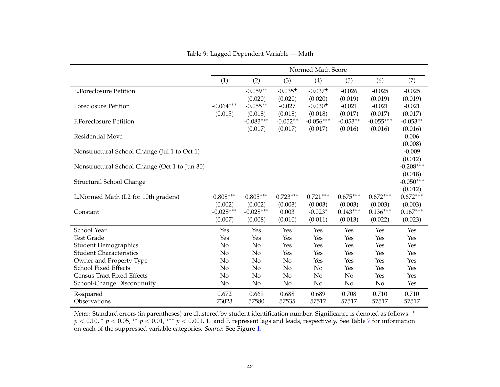<span id="page-41-0"></span>

|                                               |             |                        |                       | Normed Math Score      |                       |                        |                       |
|-----------------------------------------------|-------------|------------------------|-----------------------|------------------------|-----------------------|------------------------|-----------------------|
|                                               | (1)         | (2)                    | (3)                   | (4)                    | (5)                   | (6)                    | (7)                   |
| <b>L.Foreclosure Petition</b>                 |             | $-0.059**$             | $-0.035+$             | $-0.037+$              | $-0.026$              | $-0.025$               | $-0.025$              |
|                                               |             | (0.020)                | (0.020)               | (0.020)                | (0.019)               | (0.019)                | (0.019)               |
| <b>Foreclosure Petition</b>                   | $-0.064***$ | $-0.055**$             | $-0.027$              | $-0.030+$              | $-0.021$              | $-0.021$               | $-0.021$              |
| <b>F.Foreclosure Petition</b>                 | (0.015)     | (0.018)<br>$-0.083***$ | (0.018)<br>$-0.052**$ | (0.018)<br>$-0.056***$ | (0.017)<br>$-0.053**$ | (0.017)<br>$-0.055***$ | (0.017)<br>$-0.053**$ |
|                                               |             | (0.017)                | (0.017)               | (0.017)                | (0.016)               | (0.016)                | (0.016)               |
| <b>Residential Move</b>                       |             |                        |                       |                        |                       |                        | 0.006                 |
|                                               |             |                        |                       |                        |                       |                        | (0.008)               |
| Nonstructural School Change (Jul 1 to Oct 1)  |             |                        |                       |                        |                       |                        | $-0.009$              |
|                                               |             |                        |                       |                        |                       |                        | (0.012)               |
| Nonstructural School Change (Oct 1 to Jun 30) |             |                        |                       |                        |                       |                        | $-0.208***$           |
|                                               |             |                        |                       |                        |                       |                        | (0.018)               |
| <b>Structural School Change</b>               |             |                        |                       |                        |                       |                        | $-0.050***$           |
| L.Normed Math (L2 for 10th graders)           | $0.808***$  | $0.805***$             | $0.723***$            | $0.721***$             | $0.675***$            | $0.672***$             | (0.012)<br>$0.672***$ |
|                                               | (0.002)     | (0.002)                | (0.003)               | (0.003)                | (0.003)               | (0.003)                | (0.003)               |
| Constant                                      | $-0.028***$ | $-0.028***$            | 0.003                 | $-0.023*$              | $0.143***$            | $0.136***$             | $0.167***$            |
|                                               | (0.007)     | (0.008)                | (0.010)               | (0.011)                | (0.013)               | (0.022)                | (0.023)               |
| School Year                                   | Yes         | Yes                    | Yes                   | Yes                    | Yes                   | Yes                    | Yes                   |
| <b>Test Grade</b>                             | Yes         | Yes                    | Yes                   | Yes                    | Yes                   | Yes                    | Yes                   |
| <b>Student Demographics</b>                   | No          | No                     | Yes                   | Yes                    | Yes                   | Yes                    | Yes                   |
| <b>Student Characteristics</b>                | No          | No                     | Yes                   | Yes                    | Yes                   | Yes                    | Yes                   |
| Owner and Property Type                       | No          | No                     | No                    | Yes                    | Yes                   | Yes                    | Yes                   |
| School Fixed Effects                          | No          | N <sub>o</sub>         | No                    | No                     | Yes                   | Yes                    | Yes                   |
| <b>Census Tract Fixed Effects</b>             | No          | No                     | No                    | No                     | No                    | Yes                    | Yes                   |
| School-Change Discontinuity                   | No          | No                     | No                    | No                     | No                    | No                     | Yes                   |
| R-squared                                     | 0.672       | 0.669                  | 0.688                 | 0.689                  | 0.708                 | 0.710                  | 0.710                 |
| Observations                                  | 73023       | 57580                  | 57535                 | 57517                  | 57517                 | 57517                  | 57517                 |

Table 9: Lagged Dependent Variable — Math

*Notes:* Standard errors (in parentheses) are clustered by student identification number. Significance is denoted as follows: **<sup>+</sup>** *p* < 0.10, <sup>∗</sup> *p* < 0.05, <sup>∗∗</sup> *p* < 0.01, <sup>∗∗∗</sup> *p* < 0.001. L. and F. represent lags and leads, respectively. See Table [7](#page-38-0) for information on each of the suppressed variable categories. *Source:* See Figure [1.](#page-32-1)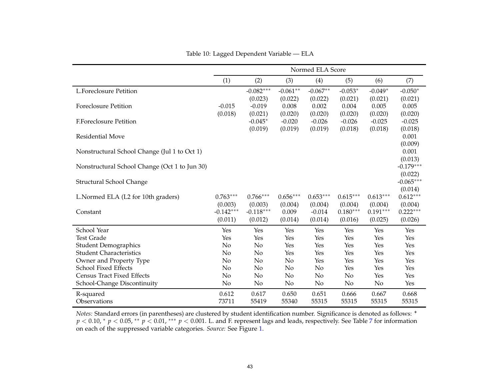|                                               |                                   |                                   |                             | Normed ELA Score               |                                  |                                  |                                   |
|-----------------------------------------------|-----------------------------------|-----------------------------------|-----------------------------|--------------------------------|----------------------------------|----------------------------------|-----------------------------------|
|                                               | (1)                               | (2)                               | (3)                         | (4)                            | (5)                              | (6)                              | (7)                               |
| <b>L.Foreclosure Petition</b>                 |                                   | $-0.082***$                       | $-0.061**$                  | $-0.067**$                     | $-0.053*$                        | $-0.049*$                        | $-0.050*$                         |
| Foreclosure Petition                          | $-0.015$<br>(0.018)               | (0.023)<br>$-0.019$<br>(0.021)    | (0.022)<br>0.008<br>(0.020) | (0.022)<br>0.002<br>(0.020)    | (0.021)<br>0.004<br>(0.020)      | (0.021)<br>0.005<br>(0.020)      | (0.021)<br>0.005<br>(0.020)       |
| <b>F.Foreclosure Petition</b>                 |                                   | $-0.045*$                         | $-0.020$                    | $-0.026$                       | $-0.026$                         | $-0.025$                         | $-0.025$                          |
|                                               |                                   | (0.019)                           | (0.019)                     | (0.019)                        | (0.018)                          | (0.018)                          | (0.018)                           |
| <b>Residential Move</b>                       |                                   |                                   |                             |                                |                                  |                                  | 0.001                             |
| Nonstructural School Change (Jul 1 to Oct 1)  |                                   |                                   |                             |                                |                                  |                                  | (0.009)<br>0.001<br>(0.013)       |
| Nonstructural School Change (Oct 1 to Jun 30) |                                   |                                   |                             |                                |                                  |                                  | $-0.179***$                       |
| Structural School Change                      |                                   |                                   |                             |                                |                                  |                                  | (0.022)<br>$-0.065***$<br>(0.014) |
| L.Normed ELA (L2 for 10th graders)            | $0.763***$                        | $0.766***$                        | $0.656***$                  | $0.653***$                     | $0.615***$                       | $0.613***$                       | $0.612***$                        |
| Constant                                      | (0.003)<br>$-0.142***$<br>(0.011) | (0.003)<br>$-0.118***$<br>(0.012) | (0.004)<br>0.009<br>(0.014) | (0.004)<br>$-0.014$<br>(0.014) | (0.004)<br>$0.180***$<br>(0.016) | (0.004)<br>$0.191***$<br>(0.025) | (0.004)<br>$0.222***$<br>(0.026)  |
| School Year                                   | Yes                               | Yes                               | Yes                         | Yes                            | Yes                              | Yes                              | Yes                               |
| <b>Test Grade</b>                             | Yes                               | Yes                               | Yes                         | Yes                            | Yes                              | Yes                              | Yes                               |
| <b>Student Demographics</b>                   | No                                | No                                | Yes                         | Yes                            | Yes                              | Yes                              | Yes                               |
| <b>Student Characteristics</b>                | No                                | No                                | Yes                         | Yes                            | Yes                              | Yes                              | Yes                               |
| Owner and Property Type                       | No                                | No                                | No                          | Yes                            | Yes                              | Yes                              | Yes                               |
| School Fixed Effects                          | No                                | No                                | No                          | No                             | Yes                              | Yes                              | Yes                               |
| <b>Census Tract Fixed Effects</b>             | No                                | No                                | No                          | No                             | No                               | Yes                              | Yes                               |
| School-Change Discontinuity                   | N <sub>o</sub>                    | No                                | No                          | No                             | No                               | No                               | Yes                               |
| R-squared<br>Observations                     | 0.612<br>73711                    | 0.617<br>55419                    | 0.650<br>55340              | 0.651<br>55315                 | 0.666<br>55315                   | 0.667<br>55315                   | 0.668<br>55315                    |

Table 10: Lagged Dependent Variable — ELA

*Notes:* Standard errors (in parentheses) are clustered by student identification number. Significance is denoted as follows: **<sup>+</sup>** *p* < 0.10, <sup>∗</sup> *p* < 0.05, <sup>∗</sup>\* *p* < 0.01, <sup>∗</sup>\*\* *p* < 0.001. L. and F. represent lags and leads, respectively. See Table [7](#page-38-0) for information on each of the suppressed variable categories. *Source:* See Figure [1.](#page-32-1)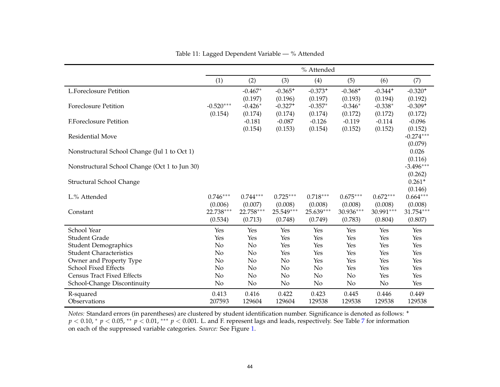<span id="page-43-0"></span>

|                                               |             |                     |                     | % Attended          |                     |                     |                     |
|-----------------------------------------------|-------------|---------------------|---------------------|---------------------|---------------------|---------------------|---------------------|
|                                               | (1)         | (2)                 | (3)                 | (4)                 | (5)                 | (6)                 | (7)                 |
| <b>L.Foreclosure Petition</b>                 |             | $-0.467*$           | $-0.365+$           | $-0.373+$           | $-0.368+$           | $-0.344+$           | $-0.320+$           |
|                                               |             | (0.197)             | (0.196)             | (0.197)             | (0.193)             | (0.194)             | (0.192)             |
| <b>Foreclosure Petition</b>                   | $-0.520***$ | $-0.426*$           | $-0.327+$           | $-0.357*$           | $-0.346*$           | $-0.338*$           | $-0.309+$           |
| <b>F.Foreclosure Petition</b>                 | (0.154)     | (0.174)<br>$-0.181$ | (0.174)<br>$-0.087$ | (0.174)<br>$-0.126$ | (0.172)<br>$-0.119$ | (0.172)<br>$-0.114$ | (0.172)<br>$-0.096$ |
|                                               |             | (0.154)             | (0.153)             | (0.154)             | (0.152)             | (0.152)             | (0.152)             |
| Residential Move                              |             |                     |                     |                     |                     |                     | $-0.274***$         |
|                                               |             |                     |                     |                     |                     |                     | (0.079)             |
| Nonstructural School Change (Jul 1 to Oct 1)  |             |                     |                     |                     |                     |                     | 0.026               |
|                                               |             |                     |                     |                     |                     |                     | (0.116)             |
| Nonstructural School Change (Oct 1 to Jun 30) |             |                     |                     |                     |                     |                     | $-3.496***$         |
|                                               |             |                     |                     |                     |                     |                     | (0.262)<br>$0.261+$ |
| Structural School Change                      |             |                     |                     |                     |                     |                     | (0.146)             |
| L.% Attended                                  | $0.746***$  | $0.744***$          | $0.725***$          | $0.718***$          | $0.675***$          | $0.672***$          | $0.664***$          |
|                                               | (0.006)     | (0.007)             | (0.008)             | (0.008)             | (0.008)             | (0.008)             | (0.008)             |
| Constant                                      | 22.738***   | 22.758***           | 25.549***           | 25.639***           | 30.936***           | 30.991***           | 31.754***           |
|                                               | (0.534)     | (0.713)             | (0.748)             | (0.749)             | (0.783)             | (0.804)             | (0.807)             |
| School Year                                   | Yes         | Yes                 | Yes                 | Yes                 | Yes                 | Yes                 | Yes                 |
| <b>Student Grade</b>                          | Yes         | Yes                 | Yes                 | Yes                 | Yes                 | Yes                 | Yes                 |
| <b>Student Demographics</b>                   | No          | No                  | Yes                 | Yes                 | Yes                 | Yes                 | Yes                 |
| <b>Student Characteristics</b>                | No          | No                  | Yes                 | Yes                 | Yes                 | Yes                 | Yes                 |
| Owner and Property Type                       | No          | No                  | No                  | Yes                 | Yes                 | Yes                 | Yes                 |
| School Fixed Effects                          | No          | No                  | N <sub>0</sub>      | No                  | Yes                 | Yes                 | Yes                 |
| <b>Census Tract Fixed Effects</b>             | No          | No                  | N <sub>o</sub>      | No                  | No                  | Yes                 | Yes                 |
| School-Change Discontinuity                   | No          | $\rm No$            | No                  | No                  | No                  | No                  | Yes                 |
| R-squared                                     | 0.413       | 0.416               | 0.422               | 0.423               | 0.445               | 0.446               | 0.449               |
| Observations                                  | 207593      | 129604              | 129604              | 129538              | 129538              | 129538              | 129538              |

Table 11: Lagged Dependent Variable — % Attended

*Notes:* Standard errors (in parentheses) are clustered by student identification number. Significance is denoted as follows: **<sup>+</sup>** *p* < 0.10, <sup>∗</sup> *p* < 0.05, <sup>∗∗</sup> *p* < 0.01, <sup>∗∗∗</sup> *p* < 0.001. L. and F. represent lags and leads, respectively. See Table [7](#page-38-0) for information on each of the suppressed variable categories. *Source:* See Figure [1.](#page-32-1)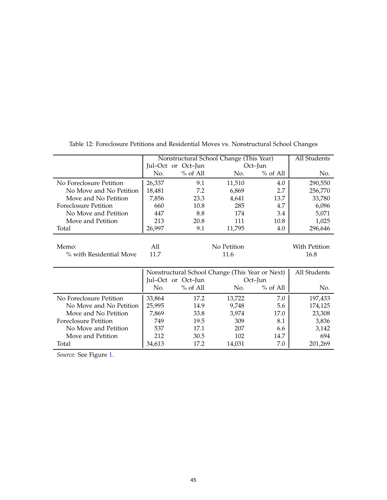|                             | Nonstructural School Change (This Year) | All Students       |                                                 |            |               |
|-----------------------------|-----------------------------------------|--------------------|-------------------------------------------------|------------|---------------|
|                             |                                         | Jul-Oct or Oct-Jun |                                                 | Oct-Jun    |               |
|                             | No.                                     | $%$ of All         | No.                                             | $%$ of All | No.           |
| No Foreclosure Petition     | 26,337                                  | 9.1                | 11,510                                          | 4.0        | 290,550       |
| No Move and No Petition     | 18,481                                  | 7.2                | 6,869                                           | 2.7        | 256,770       |
| Move and No Petition        | 7,856                                   | 23.3               | 4,641                                           | 13.7       | 33,780        |
| <b>Foreclosure Petition</b> | 660                                     | 10.8               | 285                                             | 4.7        | 6,096         |
| No Move and Petition        | 447                                     | 8.8                | 174                                             | 3.4        | 5,071         |
| Move and Petition           | 213                                     | 20.8               | 111                                             | 10.8       | 1,025         |
| Total                       | 26,997                                  | 9.1                | 11,795                                          | 4.0        | 296,646       |
|                             |                                         |                    |                                                 |            |               |
| Memo:                       | All                                     |                    | No Petition                                     |            | With Petition |
| % with Residential Move     | 11.7                                    |                    | 11.6                                            |            | 16.8          |
|                             |                                         |                    |                                                 |            |               |
|                             |                                         |                    | Nonstructural School Change (This Year or Next) |            | All Students  |
|                             |                                         | Jul-Oct or Oct-Jun |                                                 | Oct–Jun    |               |
|                             | No.                                     | $%$ of All         | No.                                             | $%$ of All | No.           |
| No Foreclosure Petition     | 33,864                                  | 17.2               | 13,722                                          | 7.0        | 197,433       |
| No Move and No Petition     | 25,995                                  | 14.9               | 9,748                                           | 5.6        | 174,125       |
| Move and No Petition        | 7,869                                   | 33.8               | 3,974                                           | 17.0       | 23,308        |
| <b>Foreclosure Petition</b> | 749                                     | 19.5               | 309                                             | 8.1        | 3,836         |
| No Move and Petition        | 537                                     | 17.1               | 207                                             | 6.6        | 3,142         |
| Move and Petition           | 212                                     | 30.5               | 102                                             | 14.7       | 694           |
| Total                       | 34,613                                  | 17.2               | 14,031                                          | 7.0        | 201,269       |

Table 12: Foreclosure Petitions and Residential Moves vs. Nonstructural School Changes

*Source:* See Figure [1.](#page-32-0)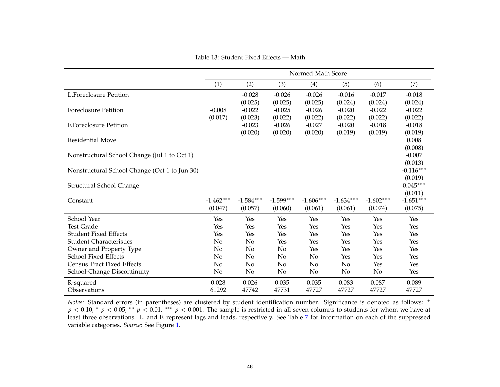Table 13: Student Fixed Effects — Math

|                                               | Normed Math Score      |                                |                                |                                |                                |                                |                                  |  |
|-----------------------------------------------|------------------------|--------------------------------|--------------------------------|--------------------------------|--------------------------------|--------------------------------|----------------------------------|--|
|                                               | (1)                    | (2)                            | (3)                            | (4)                            | (5)                            | (6)                            | (7)                              |  |
| <b>L.Foreclosure Petition</b>                 |                        | $-0.028$                       | $-0.026$                       | $-0.026$                       | $-0.016$                       | $-0.017$                       | $-0.018$                         |  |
| <b>Foreclosure Petition</b>                   | $-0.008$<br>(0.017)    | (0.025)<br>$-0.022$<br>(0.023) | (0.025)<br>$-0.025$<br>(0.022) | (0.025)<br>$-0.026$<br>(0.022) | (0.024)<br>$-0.020$<br>(0.022) | (0.024)<br>$-0.022$<br>(0.022) | (0.024)<br>$-0.022$<br>(0.022)   |  |
| <b>F.Foreclosure Petition</b>                 |                        | $-0.023$                       | $-0.026$                       | $-0.027$                       | $-0.020$                       | $-0.018$                       | $-0.018$                         |  |
| Residential Move                              |                        | (0.020)                        | (0.020)                        | (0.020)                        | (0.019)                        | (0.019)                        | (0.019)<br>0.008                 |  |
| Nonstructural School Change (Jul 1 to Oct 1)  |                        |                                |                                |                                |                                |                                | (0.008)<br>$-0.007$<br>(0.013)   |  |
| Nonstructural School Change (Oct 1 to Jun 30) |                        |                                |                                |                                |                                |                                | $-0.116***$                      |  |
| Structural School Change                      |                        |                                |                                |                                |                                |                                | (0.019)<br>$0.045***$<br>(0.011) |  |
| Constant                                      | $-1.462***$<br>(0.047) | $-1.584***$<br>(0.057)         | $-1.599***$<br>(0.060)         | $-1.606***$<br>(0.061)         | $-1.634***$<br>(0.061)         | $-1.602***$<br>(0.074)         | $-1.651***$<br>(0.075)           |  |
| School Year                                   | Yes                    | Yes                            | Yes                            | Yes                            | Yes                            | Yes                            | Yes                              |  |
| <b>Test Grade</b>                             | Yes                    | Yes                            | Yes                            | Yes                            | Yes                            | Yes                            | Yes                              |  |
| <b>Student Fixed Effects</b>                  | Yes                    | Yes                            | Yes                            | Yes                            | Yes                            | Yes                            | Yes                              |  |
| <b>Student Characteristics</b>                | No                     | No                             | Yes                            | Yes                            | Yes                            | Yes                            | Yes                              |  |
| Owner and Property Type                       | No                     | No                             | No                             | Yes                            | Yes                            | Yes                            | Yes                              |  |
| School Fixed Effects                          | No                     | No                             | No                             | No                             | Yes                            | Yes                            | Yes                              |  |
| <b>Census Tract Fixed Effects</b>             | No                     | No                             | N <sub>o</sub>                 | No                             | N <sub>o</sub>                 | Yes                            | Yes                              |  |
| School-Change Discontinuity                   | No                     | No                             | No                             | No                             | No                             | No                             | Yes                              |  |
| R-squared                                     | 0.028                  | 0.026                          | 0.035                          | 0.035                          | 0.083                          | 0.087                          | 0.089                            |  |
| Observations                                  | 61292                  | 47742                          | 47731                          | 47727                          | 47727                          | 47727                          | 47727                            |  |

*Notes:* Standard errors (in parentheses) are clustered by student identification number. Significance is denoted as follows: **<sup>+</sup>** *p* < 0.10, <sup>\*</sup> *p* < 0.05, <sup>\*\*</sup> *p* < 0.01, <sup>\*\*\*</sup> *p* < 0.001. The sample is restricted in all seven columns to students for whom we have at the sample of the summarized in the students for whom we have at the summarized least three observations. L. and F. represen<sup>t</sup> lags and leads, respectively. See Table [7](#page-38-0) for information on each of the suppresse<sup>d</sup>variable categories. *Source:* See Figure [1](#page-32-1).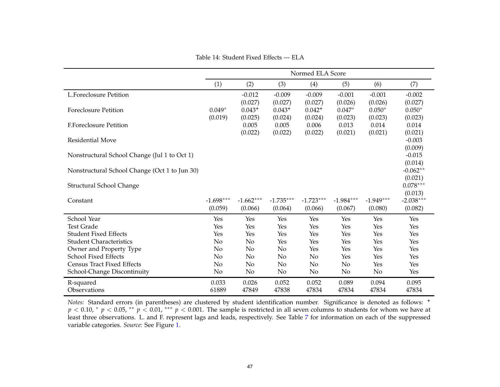Table 14: Student Fixed Effects — ELA

|                                               | Normed ELA Score       |                                |                                |                                   |                                |                                |                                  |  |
|-----------------------------------------------|------------------------|--------------------------------|--------------------------------|-----------------------------------|--------------------------------|--------------------------------|----------------------------------|--|
|                                               | (1)                    | (2)                            | (3)                            | (4)                               | (5)                            | (6)                            | (7)                              |  |
| <b>L.Foreclosure Petition</b>                 |                        | $-0.012$                       | $-0.009$                       | $-0.009$                          | $-0.001$                       | $-0.001$                       | $-0.002$                         |  |
| <b>Foreclosure Petition</b>                   | $0.049*$<br>(0.019)    | (0.027)<br>$0.043+$<br>(0.025) | (0.027)<br>$0.043+$<br>(0.024) | (0.027)<br>$0.042^{+}$<br>(0.024) | (0.026)<br>$0.047*$<br>(0.023) | (0.026)<br>$0.050*$<br>(0.023) | (0.027)<br>$0.050*$<br>(0.023)   |  |
| <b>F.Foreclosure Petition</b>                 |                        | 0.005                          | 0.005                          | 0.006                             | 0.013                          | 0.014                          | 0.014                            |  |
| <b>Residential Move</b>                       |                        | (0.022)                        | (0.022)                        | (0.022)                           | (0.021)                        | (0.021)                        | (0.021)<br>$-0.003$<br>(0.009)   |  |
| Nonstructural School Change (Jul 1 to Oct 1)  |                        |                                |                                |                                   |                                |                                | $-0.015$<br>(0.014)              |  |
| Nonstructural School Change (Oct 1 to Jun 30) |                        |                                |                                |                                   |                                |                                | $-0.062**$                       |  |
| Structural School Change                      |                        |                                |                                |                                   |                                |                                | (0.021)<br>$0.078***$<br>(0.013) |  |
| Constant                                      | $-1.698***$<br>(0.059) | $-1.662***$<br>(0.066)         | $-1.735***$<br>(0.064)         | $-1.723***$<br>(0.066)            | $-1.984***$<br>(0.067)         | $-1.949***$<br>(0.080)         | $-2.038***$<br>(0.082)           |  |
| School Year                                   | Yes                    | Yes                            | Yes                            | Yes                               | Yes                            | Yes                            | Yes                              |  |
| <b>Test Grade</b>                             | Yes                    | Yes                            | Yes                            | Yes                               | Yes                            | Yes                            | Yes                              |  |
| <b>Student Fixed Effects</b>                  | Yes                    | Yes                            | Yes                            | Yes                               | Yes                            | Yes                            | Yes                              |  |
| <b>Student Characteristics</b>                | No                     | No                             | Yes                            | Yes                               | Yes                            | Yes                            | Yes                              |  |
| Owner and Property Type                       | No                     | No                             | No                             | Yes                               | Yes                            | Yes                            | Yes                              |  |
| School Fixed Effects                          | No                     | No                             | No                             | No                                | Yes                            | Yes                            | Yes                              |  |
| <b>Census Tract Fixed Effects</b>             | No                     | No                             | No                             | No                                | No                             | Yes                            | Yes                              |  |
| School-Change Discontinuity                   | No                     | No                             | No                             | No                                | No                             | No                             | Yes                              |  |
| R-squared                                     | 0.033                  | 0.026                          | 0.052                          | 0.052                             | 0.089                          | 0.094                          | 0.095                            |  |
| Observations                                  | 61889                  | 47849                          | 47838                          | 47834                             | 47834                          | 47834                          | 47834                            |  |

*Notes:* Standard errors (in parentheses) are clustered by student identification number. Significance is denoted as follows: **<sup>+</sup>** *p* < 0.10, <sup>\*</sup> *p* < 0.05, <sup>\*\*</sup> *p* < 0.01, <sup>\*\*\*</sup> *p* < 0.001. The sample is restricted in all seven columns to students for whom we have at the sample of the summarized in the students for whom we have at the summarized least three observations. L. and F. represen<sup>t</sup> lags and leads, respectively. See Table [7](#page-38-0) for information on each of the suppresse<sup>d</sup>variable categories. *Source:* See Figure [1](#page-32-1).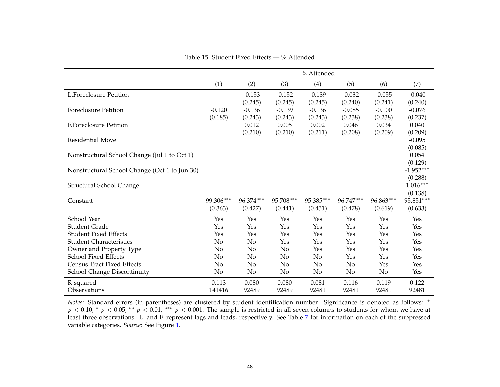|                                               |                      |                      |                      | % Attended           |                      |                      |                      |
|-----------------------------------------------|----------------------|----------------------|----------------------|----------------------|----------------------|----------------------|----------------------|
|                                               | (1)                  | (2)                  | (3)                  | (4)                  | (5)                  | (6)                  | (7)                  |
| <b>L.Foreclosure Petition</b>                 |                      | $-0.153$             | $-0.152$             | $-0.139$             | $-0.032$             | $-0.055$             | $-0.040$             |
| <b>Foreclosure Petition</b>                   | $-0.120$             | (0.245)<br>$-0.136$  | (0.245)<br>$-0.139$  | (0.245)<br>$-0.136$  | (0.240)<br>$-0.085$  | (0.241)<br>$-0.100$  | (0.240)<br>$-0.076$  |
|                                               | (0.185)              | (0.243)              | (0.243)              | (0.243)              | (0.238)              | (0.238)              | (0.237)              |
| <b>F.Foreclosure Petition</b>                 |                      | 0.012                | 0.005                | 0.002                | 0.046                | 0.034                | 0.040                |
|                                               |                      | (0.210)              | (0.210)              | (0.211)              | (0.208)              | (0.209)              | (0.209)              |
| <b>Residential Move</b>                       |                      |                      |                      |                      |                      |                      | $-0.095$             |
|                                               |                      |                      |                      |                      |                      |                      | (0.085)              |
| Nonstructural School Change (Jul 1 to Oct 1)  |                      |                      |                      |                      |                      |                      | 0.054<br>(0.129)     |
| Nonstructural School Change (Oct 1 to Jun 30) |                      |                      |                      |                      |                      |                      | $-1.952***$          |
|                                               |                      |                      |                      |                      |                      |                      | (0.288)              |
| Structural School Change                      |                      |                      |                      |                      |                      |                      | $1.016***$           |
|                                               |                      |                      |                      |                      |                      |                      | (0.138)              |
| Constant                                      | 99.306***<br>(0.363) | 96.374***<br>(0.427) | 95.708***<br>(0.441) | 95.385***<br>(0.451) | 96.747***<br>(0.478) | 96.863***<br>(0.619) | 95.851***<br>(0.633) |
|                                               |                      |                      |                      |                      |                      |                      |                      |
| School Year                                   | Yes                  | Yes                  | Yes                  | Yes                  | Yes                  | Yes                  | Yes                  |
| <b>Student Grade</b>                          | Yes                  | Yes                  | Yes                  | Yes                  | Yes                  | Yes                  | Yes                  |
| <b>Student Fixed Effects</b>                  | Yes                  | Yes                  | Yes                  | Yes                  | Yes                  | Yes                  | Yes                  |
| <b>Student Characteristics</b>                | No                   | No                   | Yes                  | Yes                  | Yes                  | Yes                  | Yes                  |
| Owner and Property Type                       | No                   | No                   | No                   | Yes                  | Yes                  | Yes                  | Yes                  |
| <b>School Fixed Effects</b>                   | No                   | No                   | No                   | No                   | Yes                  | Yes                  | Yes                  |
| <b>Census Tract Fixed Effects</b>             | No                   | No                   | No                   | No                   | No                   | Yes                  | Yes                  |
| School-Change Discontinuity                   | No                   | No                   | No                   | No                   | No                   | No                   | Yes                  |
| R-squared                                     | 0.113                | 0.080                | 0.080                | 0.081                | 0.116                | 0.119                | 0.122                |
| Observations                                  | 141416               | 92489                | 92489                | 92481                | 92481                | 92481                | 92481                |

Table 15: Student Fixed Effects — % Attended

*Notes:* Standard errors (in parentheses) are clustered by student identification number. Significance is denoted as follows: **<sup>+</sup>** *p* < 0.10, <sup>\*</sup> *p* < 0.05, <sup>\*\*</sup> *p* < 0.01, <sup>\*\*\*</sup> *p* < 0.001. The sample is restricted in all seven columns to students for whom we have at the sample of the summarized in the students for whom we have at the summarized least three observations. L. and F. represen<sup>t</sup> lags and leads, respectively. See Table [7](#page-38-0) for information on each of the suppresse<sup>d</sup>variable categories. *Source:* See Figure [1](#page-32-1).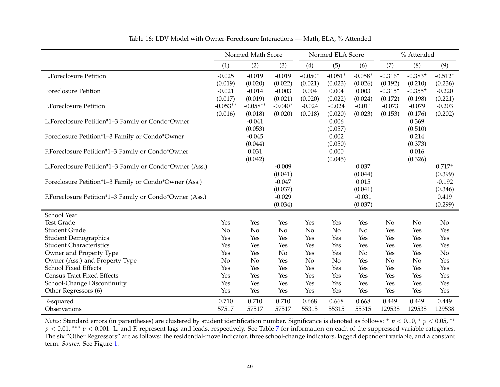|                                                               |            | Normed Math Score   |            | Normed ELA Score |                  |            | % Attended     |                  |            |
|---------------------------------------------------------------|------------|---------------------|------------|------------------|------------------|------------|----------------|------------------|------------|
|                                                               | (1)        | (2)                 | (3)        | (4)              | (5)              | (6)        | (7)            | (8)              | (9)        |
| <b>L.Foreclosure Petition</b>                                 | $-0.025$   | $-0.019$            | $-0.019$   | $-0.050*$        | $-0.051*$        | $-0.058*$  | $-0.316+$      | $-0.383+$        | $-0.512*$  |
|                                                               | (0.019)    | (0.020)             | (0.022)    | (0.021)          | (0.023)          | (0.026)    | (0.192)        | (0.210)          | (0.236)    |
| <b>Foreclosure Petition</b>                                   | $-0.021$   | $-0.014$            | $-0.003$   | 0.004            | 0.004            | 0.003      | $-0.315+$      | $-0.355+$        | $-0.220$   |
|                                                               | (0.017)    | (0.019)             | (0.021)    | (0.020)          | (0.022)          | (0.024)    | (0.172)        | (0.198)          | (0.221)    |
| <b>F.Foreclosure Petition</b>                                 | $-0.053**$ | $-0.058**$          | $-0.040*$  | $-0.024$         | $-0.024$         | $-0.011$   | $-0.073$       | $-0.079$         | $-0.203$   |
| L.Foreclosure Petition*1-3 Family or Condo*Owner              | (0.016)    | (0.018)<br>$-0.041$ | (0.020)    | (0.018)          | (0.020)<br>0.006 | (0.023)    | (0.153)        | (0.176)<br>0.369 | (0.202)    |
|                                                               |            | (0.053)             |            |                  | (0.057)          |            |                | (0.510)          |            |
| Foreclosure Petition*1-3 Family or Condo*Owner                |            | $-0.045$            |            |                  | 0.002            |            |                | 0.214            |            |
|                                                               |            | (0.044)             |            |                  | (0.050)          |            |                | (0.373)          |            |
| F.Foreclosure Petition*1-3 Family or Condo*Owner              |            | 0.031               |            |                  | 0.000            |            |                | 0.016            |            |
|                                                               |            | (0.042)             |            |                  | (0.045)          |            |                | (0.326)          |            |
| L.Foreclosure Petition*1-3 Family or Condo*Owner (Ass.)       |            |                     | $-0.009$   |                  |                  | 0.037      |                |                  | $0.717+$   |
|                                                               |            |                     | (0.041)    |                  |                  | (0.044)    |                |                  | (0.399)    |
| Foreclosure Petition*1-3 Family or Condo*Owner (Ass.)         |            |                     | $-0.047$   |                  |                  | 0.015      |                |                  | $-0.192$   |
|                                                               |            |                     | (0.037)    |                  |                  | (0.041)    |                |                  | (0.346)    |
| F.Foreclosure Petition*1-3 Family or Condo*Owner (Ass.)       |            |                     | $-0.029$   |                  |                  | $-0.031$   |                |                  | 0.419      |
|                                                               |            |                     | (0.034)    |                  |                  | (0.037)    |                |                  | (0.299)    |
| School Year                                                   |            |                     |            |                  |                  |            |                |                  |            |
| <b>Test Grade</b>                                             | Yes        | Yes                 | Yes        | Yes              | Yes              | Yes        | N <sub>o</sub> | N <sub>o</sub>   | No         |
| <b>Student Grade</b>                                          | No         | No                  | No         | No               | N <sub>o</sub>   | No         | Yes            | Yes              | Yes        |
| <b>Student Demographics</b><br><b>Student Characteristics</b> | Yes<br>Yes | Yes<br>Yes          | Yes<br>Yes | Yes<br>Yes       | Yes<br>Yes       | Yes<br>Yes | Yes<br>Yes     | Yes<br>Yes       | Yes<br>Yes |
| Owner and Property Type                                       | Yes        | Yes                 | No         | Yes              | Yes              | No         | Yes            | Yes              | No         |
| Owner (Ass.) and Property Type                                | No         | No                  | Yes        | No               | No               | Yes        | No             | No               | Yes        |
| School Fixed Effects                                          | Yes        | Yes                 | Yes        | Yes              | Yes              | Yes        | Yes            | Yes              | Yes        |
| <b>Census Tract Fixed Effects</b>                             | Yes        | Yes                 | Yes        | Yes              | Yes              | Yes        | Yes            | Yes              | Yes        |
| School-Change Discontinuity                                   | Yes        | Yes                 | Yes        | Yes              | Yes              | Yes        | Yes            | Yes              | Yes        |
| Other Regressors (6)                                          | Yes        | Yes                 | Yes        | Yes              | Yes              | Yes        | Yes            | Yes              | Yes        |
| R-squared                                                     | 0.710      | 0.710               | 0.710      | 0.668            | 0.668            | 0.668      | 0.449          | 0.449            | 0.449      |
| Observations                                                  | 57517      | 57517               | 57517      | 55315            | 55315            | 55315      | 129538         | 129538           | 129538     |

Table 16: LDV Model with Owner-Foreclosure Interactions — Math, ELA, % Attended

*Notes:* Standard errors (in parentheses) are clustered by student identification number. Significance is denoted as follows: <sup>+</sup> *p* < 0.10, <sup>\*</sup> *p* < 0.05, <sup>\*\*</sup><br>*n* ≤ 0.01, <sup>\*\*\*</sup> *n* ≤ 0.001, *b* and *E* approach lage a *p* < 0.01, \*\*\* *p* < 0.001. L. and F. represent lags and leads, respectively. See Table [7](#page-38-0) for information on each of the suppressed variable categories.<br>The six "Other Besuessess" are as fallaws: the speidential mayo ind The six "Other Regressors" are as follows: the residential-move indicator, three school-change indicators, lagged dependent variable, and <sup>a</sup> constantterm. *Source:* See Figure [1.](#page-32-1)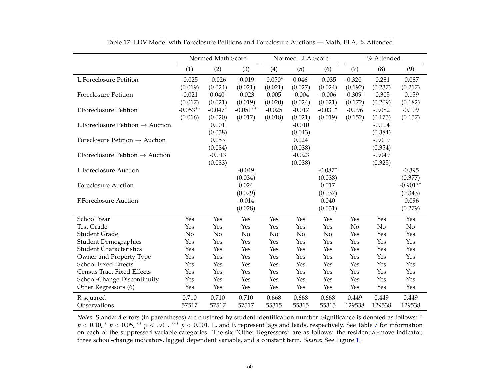|                                               |            | Normed Math Score |            |           | Normed ELA Score |                       |           | % Attended |            |
|-----------------------------------------------|------------|-------------------|------------|-----------|------------------|-----------------------|-----------|------------|------------|
|                                               | (1)        | (2)               | (3)        | (4)       | (5)              | (6)                   | (7)       | (8)        | (9)        |
| <b>L.Foreclosure Petition</b>                 | $-0.025$   | $-0.026$          | $-0.019$   | $-0.050*$ | $-0.046+$        | $-0.035$              | $-0.320+$ | $-0.281$   | $-0.087$   |
|                                               | (0.019)    | (0.024)           | (0.021)    | (0.021)   | (0.027)          | (0.024)               | (0.192)   | (0.237)    | (0.217)    |
| <b>Foreclosure Petition</b>                   | $-0.021$   | $-0.040+$         | $-0.023$   | 0.005     | $-0.004$         | $-0.006$              | $-0.309+$ | $-0.305$   | $-0.159$   |
|                                               | (0.017)    | (0.021)           | (0.019)    | (0.020)   | (0.024)          | (0.021)               | (0.172)   | (0.209)    | (0.182)    |
| <b>F.Foreclosure Petition</b>                 | $-0.053**$ | $-0.047*$         | $-0.051**$ | $-0.025$  | $-0.017$         | $-0.031$ <sup>+</sup> | $-0.096$  | $-0.082$   | $-0.109$   |
|                                               | (0.016)    | (0.020)           | (0.017)    | (0.018)   | (0.021)          | (0.019)               | (0.152)   | (0.175)    | (0.157)    |
| L. Foreclosure Petition $\rightarrow$ Auction |            | 0.001             |            |           | $-0.010$         |                       |           | $-0.104$   |            |
|                                               |            | (0.038)           |            |           | (0.043)          |                       |           | (0.384)    |            |
| Foreclosure Petition $\rightarrow$ Auction    |            | 0.053             |            |           | 0.024            |                       |           | $-0.019$   |            |
|                                               |            | (0.034)           |            |           | (0.038)          |                       |           | (0.354)    |            |
| E.Foreclosure Petition $\rightarrow$ Auction  |            | $-0.013$          |            |           | $-0.023$         |                       |           | $-0.049$   |            |
|                                               |            | (0.033)           |            |           | (0.038)          |                       |           | (0.325)    |            |
| <b>L.Foreclosure Auction</b>                  |            |                   | $-0.049$   |           |                  | $-0.087*$             |           |            | $-0.395$   |
|                                               |            |                   | (0.034)    |           |                  | (0.038)               |           |            | (0.377)    |
| <b>Foreclosure Auction</b>                    |            |                   | 0.024      |           |                  | 0.017                 |           |            | $-0.901**$ |
|                                               |            |                   | (0.029)    |           |                  | (0.032)               |           |            | (0.343)    |
| <b>F.Foreclosure Auction</b>                  |            |                   | $-0.014$   |           |                  | 0.040                 |           |            | $-0.096$   |
|                                               |            |                   | (0.028)    |           |                  | (0.031)               |           |            | (0.279)    |
| School Year                                   | Yes        | Yes               | Yes        | Yes       | Yes              | Yes                   | Yes       | Yes        | Yes        |
| <b>Test Grade</b>                             | Yes        | Yes               | Yes        | Yes       | Yes              | Yes                   | No        | No         | No         |
| <b>Student Grade</b>                          | No         | No                | No         | No        | No               | No                    | Yes       | Yes        | Yes        |
| <b>Student Demographics</b>                   | Yes        | Yes               | Yes        | Yes       | Yes              | Yes                   | Yes       | Yes        | Yes        |
| <b>Student Characteristics</b>                | Yes        | Yes               | Yes        | Yes       | Yes              | Yes                   | Yes       | Yes        | Yes        |
| Owner and Property Type                       | Yes        | Yes               | Yes        | Yes       | Yes              | Yes                   | Yes       | Yes        | Yes        |
| <b>School Fixed Effects</b>                   | Yes        | Yes               | Yes        | Yes       | Yes              | Yes                   | Yes       | Yes        | Yes        |
| <b>Census Tract Fixed Effects</b>             | Yes        | Yes               | Yes        | Yes       | Yes              | Yes                   | Yes       | Yes        | Yes        |
| School-Change Discontinuity                   | Yes        | Yes               | Yes        | Yes       | Yes              | Yes                   | Yes       | Yes        | Yes        |
| Other Regressors (6)                          | Yes        | Yes               | Yes        | Yes       | Yes              | Yes                   | Yes       | Yes        | Yes        |
| R-squared                                     | 0.710      | 0.710             | 0.710      | 0.668     | 0.668            | 0.668                 | 0.449     | 0.449      | 0.449      |
| Observations                                  | 57517      | 57517             | 57517      | 55315     | 55315            | 55315                 | 129538    | 129538     | 129538     |

Table 17: LDV Model with Foreclosure Petitions and Foreclosure Auctions — Math, ELA, % Attended

*Notes:* Standard errors (in parentheses) are clustered by student identification number. Significance is denoted as follows: **+** *p* < 0.10, <sup>\*</sup> *p* < 0.05, <sup>\*\*</sup> *p* < 0.01, <sup>\*\*\*</sup> *p* < 0.001. L. and F. represent lags and leads, respectively. See Table [7](#page-38-0) for information on each of the suppressed variable categories. The six "Other Regressors" are as follows: the residential-move indicator, three school-change indicators, lagged dependent variable, and <sup>a</sup> constant term. *Source:* See Figure [1.](#page-32-1)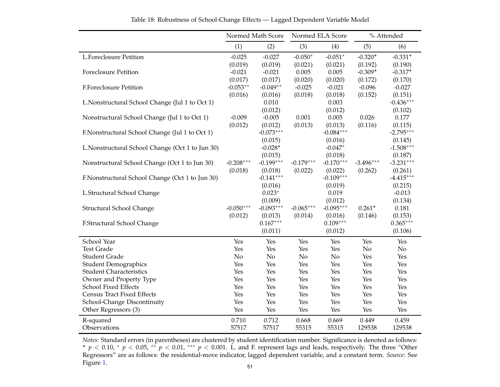|                                                  |             | Normed Math Score | Normed ELA Score |             |             | % Attended  |
|--------------------------------------------------|-------------|-------------------|------------------|-------------|-------------|-------------|
|                                                  | (1)         | (2)               | (3)              | (4)         | (5)         | (6)         |
| L.Foreclosure Petition                           | $-0.025$    | $-0.027$          | $-0.050*$        | $-0.051*$   | $-0.320+$   | $-0.331+$   |
|                                                  | (0.019)     | (0.019)           | (0.021)          | (0.021)     | (0.192)     | (0.190)     |
| <b>Foreclosure Petition</b>                      | $-0.021$    | $-0.021$          | 0.005            | 0.005       | $-0.309+$   | $-0.317+$   |
|                                                  | (0.017)     | (0.017)           | (0.020)          | (0.020)     | (0.172)     | (0.170)     |
| F.Foreclosure Petition                           | $-0.053**$  | $-0.049**$        | $-0.025$         | $-0.021$    | $-0.096$    | $-0.027$    |
|                                                  | (0.016)     | (0.016)           | (0.018)          | (0.018)     | (0.152)     | (0.151)     |
| L.Nonstructural School Change (Jul 1 to Oct 1)   |             | 0.010             |                  | 0.003       |             | $-0.436***$ |
|                                                  |             | (0.012)           |                  | (0.012)     |             | (0.102)     |
| Nonstructural School Change (Jul 1 to Oct 1)     | $-0.009$    | $-0.005$          | 0.001            | 0.005       | 0.026       | 0.177       |
|                                                  | (0.012)     | (0.012)           | (0.013)          | (0.013)     | (0.116)     | (0.115)     |
| F.Nonstructural School Change (Jul 1 to Oct 1)   |             | $-0.073***$       |                  | $-0.084***$ |             | $-2.795***$ |
|                                                  |             | (0.015)           |                  | (0.016)     |             | (0.145)     |
| L. Nonstructural School Change (Oct 1 to Jun 30) |             | $-0.028+$         |                  | $-0.047*$   |             | $-1.508***$ |
|                                                  |             | (0.015)           |                  | (0.018)     |             | (0.187)     |
| Nonstructural School Change (Oct 1 to Jun 30)    | $-0.208***$ | $-0.199***$       | $-0.179***$      | $-0.170***$ | $-3.496***$ | $-3.231***$ |
|                                                  | (0.018)     | (0.018)           | (0.022)          | (0.022)     | (0.262)     | (0.261)     |
| F.Nonstructural School Change (Oct 1 to Jun 30)  |             | $-0.141***$       |                  | $-0.109***$ |             | $-4.415***$ |
|                                                  |             | (0.016)           |                  | (0.019)     |             | (0.215)     |
| L.Structural School Change                       |             | $0.023*$          |                  | 0.019       |             | $-0.013$    |
|                                                  |             | (0.009)           |                  | (0.012)     |             | (0.134)     |
| Structural School Change                         | $-0.050***$ | $-0.093***$       | $-0.065***$      | $-0.095***$ | $0.261+$    | 0.181       |
|                                                  | (0.012)     | (0.013)           | (0.014)          | (0.016)     | (0.146)     | (0.153)     |
| F.Structural School Change                       |             | $0.167***$        |                  | $0.109***$  |             | $0.365***$  |
|                                                  |             | (0.011)           |                  | (0.012)     |             | (0.106)     |
| School Year                                      | Yes         | Yes               | Yes              | Yes         | Yes         | Yes         |
| <b>Test Grade</b>                                | Yes         | Yes               | Yes              | Yes         | No          | No          |
| <b>Student Grade</b>                             | No          | No                | No               | No          | Yes         | Yes         |
| <b>Student Demographics</b>                      | Yes         | Yes               | Yes              | Yes         | Yes         | Yes         |
| <b>Student Characteristics</b>                   | Yes         | Yes               | Yes              | Yes         | Yes         | Yes         |
| Owner and Property Type                          | Yes         | Yes               | Yes              | Yes         | Yes         | Yes         |
| <b>School Fixed Effects</b>                      | Yes         | Yes               | Yes              | Yes         | Yes         | Yes         |
| <b>Census Tract Fixed Effects</b>                | Yes         | Yes               | Yes              | Yes         | Yes         | Yes         |
| School-Change Discontinuity                      | Yes         | Yes               | Yes              | Yes         | Yes         | Yes         |
| Other Regressors (3)                             | Yes         | Yes               | Yes              | Yes         | Yes         | Yes         |
| R-squared                                        | 0.710       | 0.712             | 0.668            | 0.669       | 0.449       | 0.459       |
| Observations                                     | 57517       | 57517             | 55315            | 55315       | 129538      | 129538      |

Table 18: Robustness of School-Change Effects — Lagged Dependent Variable Model

*Notes:* Standard errors (in parentheses) are clustered by student identification number. Significance is denoted as follows: *+ p* < 0.10, <sup>\*</sup> *p* < 0.05, <sup>\*\*</sup> *p* < 0.01, <sup>\*\*\*</sup> *p* < 0.001. L. and F. represent lags and leads, respectively. The three "Other Regressors" are as follows: the residential-move indicator, lagged dependent variable, and <sup>a</sup> constant term. *Source:* SeeFigure [1.](#page-32-1) 51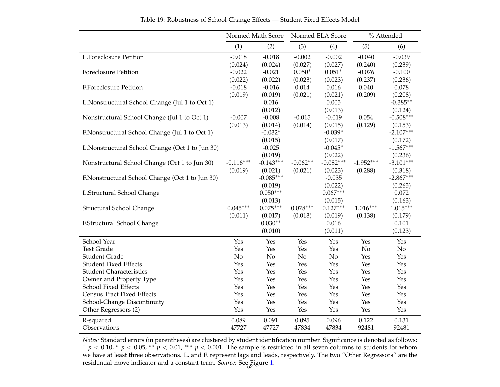|                                                 |             | Normed Math Score     |            | Normed ELA Score      |             | % Attended            |
|-------------------------------------------------|-------------|-----------------------|------------|-----------------------|-------------|-----------------------|
|                                                 | (1)         | (2)                   | (3)        | (4)                   | (5)         | (6)                   |
| L.Foreclosure Petition                          | $-0.018$    | $-0.018$              | $-0.002$   | $-0.002$              | $-0.040$    | $-0.039$              |
|                                                 | (0.024)     | (0.024)               | (0.027)    | (0.027)               | (0.240)     | (0.239)               |
| <b>Foreclosure Petition</b>                     | $-0.022$    | $-0.021$              | $0.050*$   | $0.051*$              | $-0.076$    | $-0.100$              |
|                                                 | (0.022)     | (0.022)               | (0.023)    | (0.023)               | (0.237)     | (0.236)               |
| <b>F.Foreclosure Petition</b>                   | $-0.018$    | $-0.016$              | 0.014      | 0.016                 | 0.040       | 0.078                 |
|                                                 | (0.019)     | (0.019)               | (0.021)    | (0.021)               | (0.209)     | (0.208)               |
| L. Nonstructural School Change (Jul 1 to Oct 1) |             | 0.016                 |            | 0.005                 |             | $-0.385**$            |
|                                                 |             | (0.012)               |            | (0.013)               |             | (0.124)               |
| Nonstructural School Change (Jul 1 to Oct 1)    | $-0.007$    | $-0.008$              | $-0.015$   | $-0.019$              | 0.054       | $-0.508***$           |
|                                                 | (0.013)     | (0.014)               | (0.014)    | (0.015)               | (0.129)     | (0.153)               |
| F.Nonstructural School Change (Jul 1 to Oct 1)  |             | $-0.032*$             |            | $-0.039*$             |             | $-2.107***$           |
|                                                 |             | (0.015)               |            | (0.017)               |             | (0.172)               |
| L.Nonstructural School Change (Oct 1 to Jun 30) |             | $-0.025$              |            | $-0.045*$             |             | $-1.567***$           |
|                                                 |             | (0.019)               |            | (0.022)               |             | (0.236)               |
| Nonstructural School Change (Oct 1 to Jun 30)   | $-0.116***$ | $-0.143***$           | $-0.062**$ | $-0.082***$           | $-1.952***$ | $-3.101***$           |
|                                                 | (0.019)     | (0.021)               | (0.021)    | (0.023)               | (0.288)     | (0.318)               |
| F.Nonstructural School Change (Oct 1 to Jun 30) |             | $-0.085***$           |            | $-0.035$              |             | $-2.867***$           |
|                                                 |             | (0.019)               |            | (0.022)               |             | (0.265)               |
| L.Structural School Change                      |             | $0.050***$            |            | $0.067***$            |             | 0.072                 |
|                                                 | $0.045***$  | (0.013)<br>$0.075***$ | $0.078***$ | (0.015)<br>$0.127***$ | $1.016***$  | (0.163)<br>$1.015***$ |
| Structural School Change                        | (0.011)     | (0.017)               | (0.013)    | (0.019)               | (0.138)     | (0.179)               |
| F.Structural School Change                      |             | $0.030**$             |            | 0.016                 |             | 0.101                 |
|                                                 |             | (0.010)               |            | (0.011)               |             | (0.123)               |
|                                                 |             |                       |            |                       |             |                       |
| School Year                                     | Yes         | Yes                   | Yes        | Yes                   | Yes         | Yes                   |
| <b>Test Grade</b>                               | Yes         | Yes                   | Yes        | Yes                   | No          | No                    |
| <b>Student Grade</b>                            | No          | No                    | No         | No                    | Yes         | Yes                   |
| <b>Student Fixed Effects</b>                    | Yes         | Yes                   | Yes        | Yes                   | Yes         | Yes                   |
| <b>Student Characteristics</b>                  | Yes         | Yes                   | Yes        | Yes                   | Yes         | Yes                   |
| Owner and Property Type                         | Yes         | Yes                   | Yes        | Yes                   | Yes         | Yes                   |
| School Fixed Effects                            | Yes         | Yes                   | Yes        | Yes                   | Yes         | Yes                   |
| <b>Census Tract Fixed Effects</b>               | Yes         | Yes                   | Yes        | Yes                   | Yes         | Yes                   |
| School-Change Discontinuity                     | Yes<br>Yes  | Yes<br>Yes            | Yes<br>Yes | Yes<br>Yes            | Yes<br>Yes  | Yes<br>Yes            |
| Other Regressors (2)                            |             |                       |            |                       |             |                       |
| R-squared                                       | 0.089       | 0.091                 | 0.095      | 0.096                 | 0.122       | 0.131                 |
| Observations                                    | 47727       | 47727                 | 47834      | 47834                 | 92481       | 92481                 |

Table 19: Robustness of School-Change Effects — Student Fixed Effects Model

*Notes:* Standard errors (in parentheses) are clustered by student identification number. Significance is denoted as follows: **<sup>+</sup>** *p* < 0.10, <sup>\*</sup> *p* < 0.05, <sup>\*\*</sup> *p* < 0.01, <sup>\*\*\*</sup> *p* < 0.001. The sample is restricted in all seven columns to students for whom we have at least three observations. L. and F. represen<sup>t</sup> lags and leads, respectively. The two "Other Regressors" are theresidential-move indicator and a constant term. *Source: S*ee Figure [1.](#page-32-1)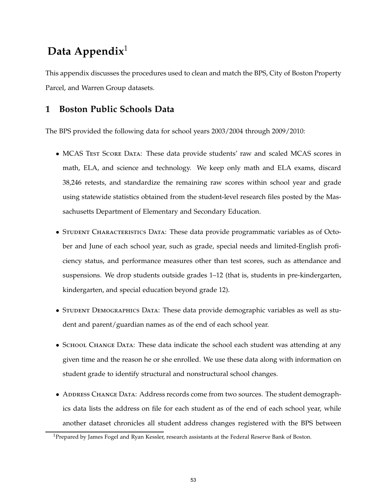# **Data Appendix**<sup>1</sup>

This appendix discusses the procedures used to clean and match the BPS, City of Boston Property Parcel, and Warren Group datasets.

## **1 Boston Public Schools Data**

The BPS provided the following data for school years 2003/2004 through 2009/2010:

- MCAS TEST SCORE DATA: These data provide students' raw and scaled MCAS scores in math, ELA, and science and technology. We keep only math and ELA exams, discard 38,246 retests, and standardize the remaining raw scores within school year and grade using statewide statistics obtained from the student-level research files posted by the Massachusetts Department of Elementary and Secondary Education.
- STUDENT CHARACTERISTICS DATA: These data provide programmatic variables as of October and June of each school year, such as grade, special needs and limited-English proficiency status, and performance measures other than test scores, such as attendance and suspensions. We drop students outside grades 1–12 (that is, students in pre-kindergarten, kindergarten, and special education beyond grade 12).
- STUDENT DEMOGRAPHICS DATA: These data provide demographic variables as well as student and parent/guardian names as of the end of each school year.
- SCHOOL CHANGE DATA: These data indicate the school each student was attending at any given time and the reason he or she enrolled. We use these data along with information on student grade to identify structural and nonstructural school changes.
- ADDRESS CHANGE DATA: Address records come from two sources. The student demographics data lists the address on file for each student as of the end of each school year, while another dataset chronicles all student address changes registered with the BPS between

<sup>&</sup>lt;sup>1</sup>Prepared by James Fogel and Ryan Kessler, research assistants at the Federal Reserve Bank of Boston.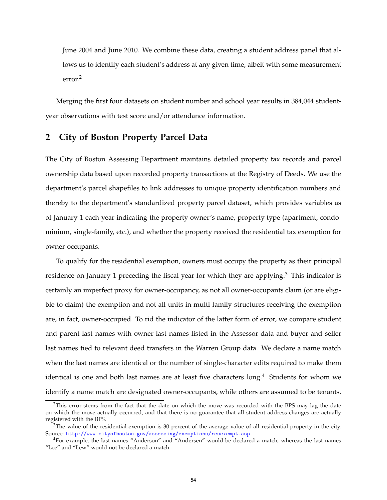June 2004 and June 2010. We combine these data, creating a student address panel that allows us to identify each student's address at any given time, albeit with some measurement error.<sup>2</sup>

Merging the first four datasets on student number and school year results in 384,044 studentyear observations with test score and/or attendance information.

#### **2 City of Boston Property Parcel Data**

The City of Boston Assessing Department maintains detailed property tax records and parcel ownership data based upon recorded property transactions at the Registry of Deeds. We use the department's parcel shapefiles to link addresses to unique property identification numbers and thereby to the department's standardized property parcel dataset, which provides variables as of January 1 each year indicating the property owner's name, property type (apartment, condominium, single-family, etc.), and whether the property received the residential tax exemption for owner-occupants.

To qualify for the residential exemption, owners must occupy the property as their principal residence on January 1 preceding the fiscal year for which they are applying.<sup>3</sup> This indicator is certainly an imperfect proxy for owner-occupancy, as not all owner-occupants claim (or are eligible to claim) the exemption and not all units in multi-family structures receiving the exemption are, in fact, owner-occupied. To rid the indicator of the latter form of error, we compare student and parent last names with owner last names listed in the Assessor data and buyer and seller last names tied to relevant deed transfers in the Warren Group data. We declare a name match when the last names are identical or the number of single-character edits required to make them identical is one and both last names are at least five characters long.<sup>4</sup> Students for whom we identify a name match are designated owner-occupants, while others are assumed to be tenants.

<sup>&</sup>lt;sup>2</sup>This error stems from the fact that the date on which the move was recorded with the BPS may lag the date on which the move actually occurred, and that there is no guarantee that all student address changes are actually registered with the BPS.

 $3$ The value of the residential exemption is 30 percent of the average value of all residential property in the city. Source: <http://www.cityofboston.gov/assessing/exemptions/resexempt.asp>

<sup>4</sup>For example, the last names "Anderson" and "Andersen" would be declared a match, whereas the last names "Lee" and "Lew" would not be declared a match.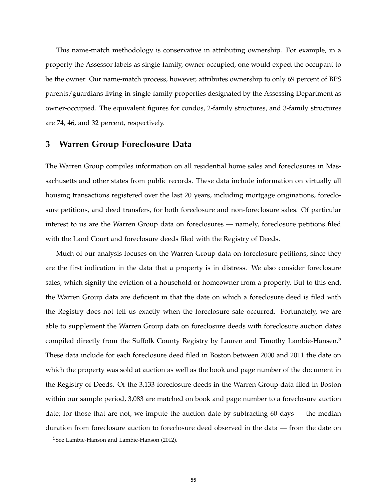This name-match methodology is conservative in attributing ownership. For example, in a property the Assessor labels as single-family, owner-occupied, one would expect the occupant to be the owner. Our name-match process, however, attributes ownership to only 69 percent of BPS parents/guardians living in single-family properties designated by the Assessing Department as owner-occupied. The equivalent figures for condos, 2-family structures, and 3-family structures are 74, 46, and 32 percent, respectively.

#### **3 Warren Group Foreclosure Data**

The Warren Group compiles information on all residential home sales and foreclosures in Massachusetts and other states from public records. These data include information on virtually all housing transactions registered over the last 20 years, including mortgage originations, foreclosure petitions, and deed transfers, for both foreclosure and non-foreclosure sales. Of particular interest to us are the Warren Group data on foreclosures — namely, foreclosure petitions filed with the Land Court and foreclosure deeds filed with the Registry of Deeds.

Much of our analysis focuses on the Warren Group data on foreclosure petitions, since they are the first indication in the data that a property is in distress. We also consider foreclosure sales, which signify the eviction of a household or homeowner from a property. But to this end, the Warren Group data are deficient in that the date on which a foreclosure deed is filed with the Registry does not tell us exactly when the foreclosure sale occurred. Fortunately, we are able to supplement the Warren Group data on foreclosure deeds with foreclosure auction dates compiled directly from the Suffolk County Registry by Lauren and Timothy Lambie-Hansen.<sup>5</sup> These data include for each foreclosure deed filed in Boston between 2000 and 2011 the date on which the property was sold at auction as well as the book and page number of the document in the Registry of Deeds. Of the 3,133 foreclosure deeds in the Warren Group data filed in Boston within our sample period, 3,083 are matched on book and page number to a foreclosure auction date; for those that are not, we impute the auction date by subtracting 60 days — the median duration from foreclosure auction to foreclosure deed observed in the data — from the date on

<sup>&</sup>lt;sup>5</sup>See Lambie-Hanson and Lambie-Hanson (2012).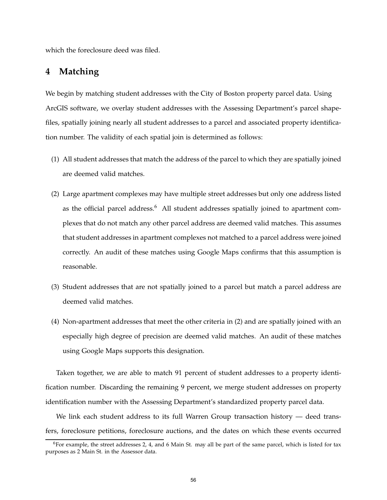which the foreclosure deed was filed.

### **4 Matching**

We begin by matching student addresses with the City of Boston property parcel data. Using ArcGIS software, we overlay student addresses with the Assessing Department's parcel shapefiles, spatially joining nearly all student addresses to a parcel and associated property identification number. The validity of each spatial join is determined as follows:

- (1) All student addresses that match the address of the parcel to which they are spatially joined are deemed valid matches.
- (2) Large apartment complexes may have multiple street addresses but only one address listed as the official parcel address.<sup>6</sup> All student addresses spatially joined to apartment complexes that do not match any other parcel address are deemed valid matches. This assumes that student addresses in apartment complexes not matched to a parcel address were joined correctly. An audit of these matches using Google Maps confirms that this assumption is reasonable.
- (3) Student addresses that are not spatially joined to a parcel but match a parcel address are deemed valid matches.
- (4) Non-apartment addresses that meet the other criteria in (2) and are spatially joined with an especially high degree of precision are deemed valid matches. An audit of these matches using Google Maps supports this designation.

Taken together, we are able to match 91 percent of student addresses to a property identification number. Discarding the remaining 9 percent, we merge student addresses on property identification number with the Assessing Department's standardized property parcel data.

We link each student address to its full Warren Group transaction history — deed transfers, foreclosure petitions, foreclosure auctions, and the dates on which these events occurred

 $6$ For example, the street addresses 2, 4, and 6 Main St. may all be part of the same parcel, which is listed for tax purposes as 2 Main St. in the Assessor data.